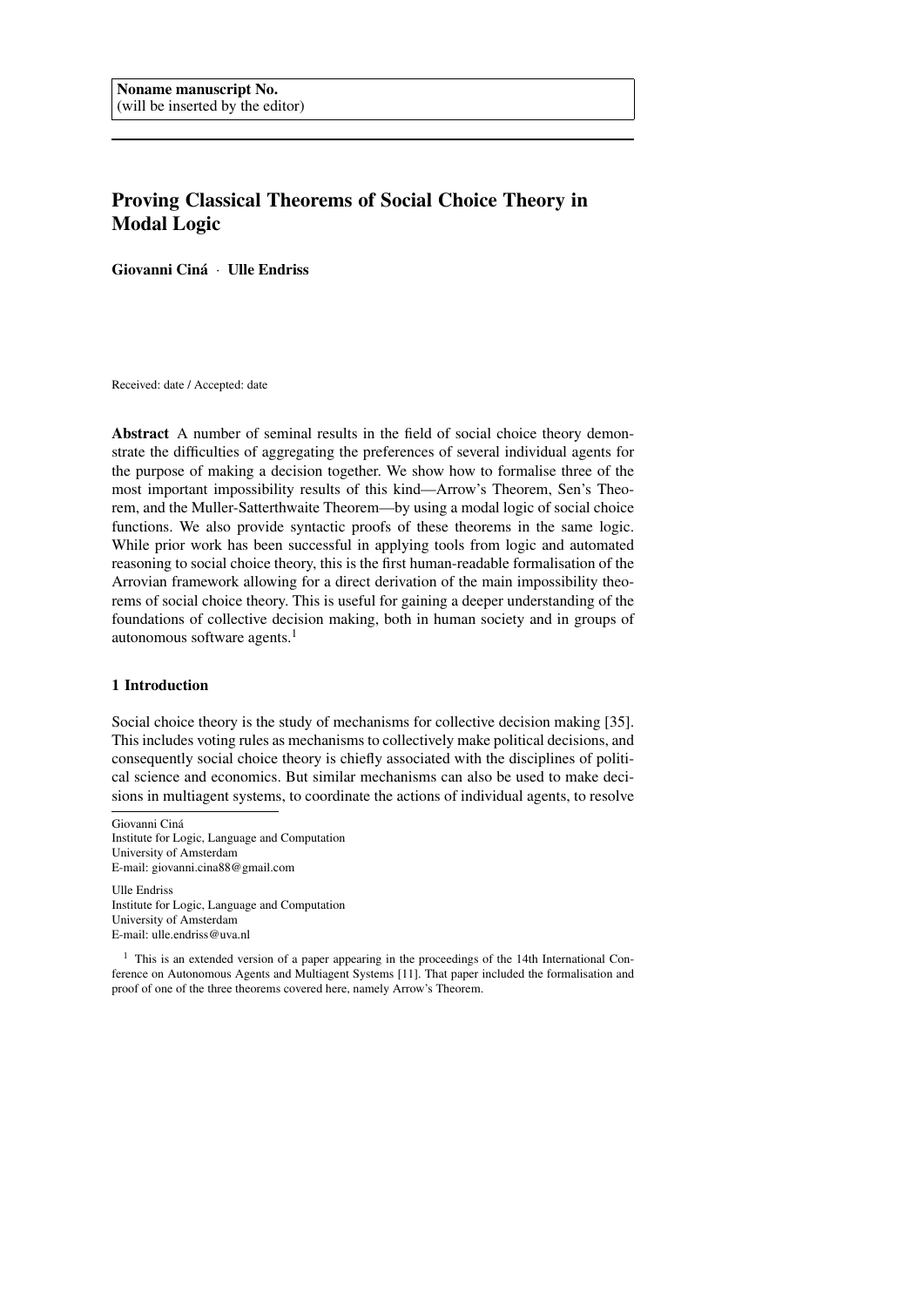# Proving Classical Theorems of Social Choice Theory in Modal Logic

Giovanni Ciná · Ulle Endriss

Received: date / Accepted: date

Abstract A number of seminal results in the field of social choice theory demonstrate the difficulties of aggregating the preferences of several individual agents for the purpose of making a decision together. We show how to formalise three of the most important impossibility results of this kind—Arrow's Theorem, Sen's Theorem, and the Muller-Satterthwaite Theorem—by using a modal logic of social choice functions. We also provide syntactic proofs of these theorems in the same logic. While prior work has been successful in applying tools from logic and automated reasoning to social choice theory, this is the first human-readable formalisation of the Arrovian framework allowing for a direct derivation of the main impossibility theorems of social choice theory. This is useful for gaining a deeper understanding of the foundations of collective decision making, both in human society and in groups of autonomous software agents.<sup>1</sup>

# 1 Introduction

Social choice theory is the study of mechanisms for collective decision making [35]. This includes voting rules as mechanisms to collectively make political decisions, and consequently social choice theory is chiefly associated with the disciplines of political science and economics. But similar mechanisms can also be used to make decisions in multiagent systems, to coordinate the actions of individual agents, to resolve

Giovanni Ciná Institute for Logic, Language and Computation University of Amsterdam E-mail: giovanni.cina88@gmail.com

Ulle Endriss Institute for Logic, Language and Computation University of Amsterdam E-mail: ulle.endriss@uva.nl

<sup>1</sup> This is an extended version of a paper appearing in the proceedings of the 14th International Conference on Autonomous Agents and Multiagent Systems [11]. That paper included the formalisation and proof of one of the three theorems covered here, namely Arrow's Theorem.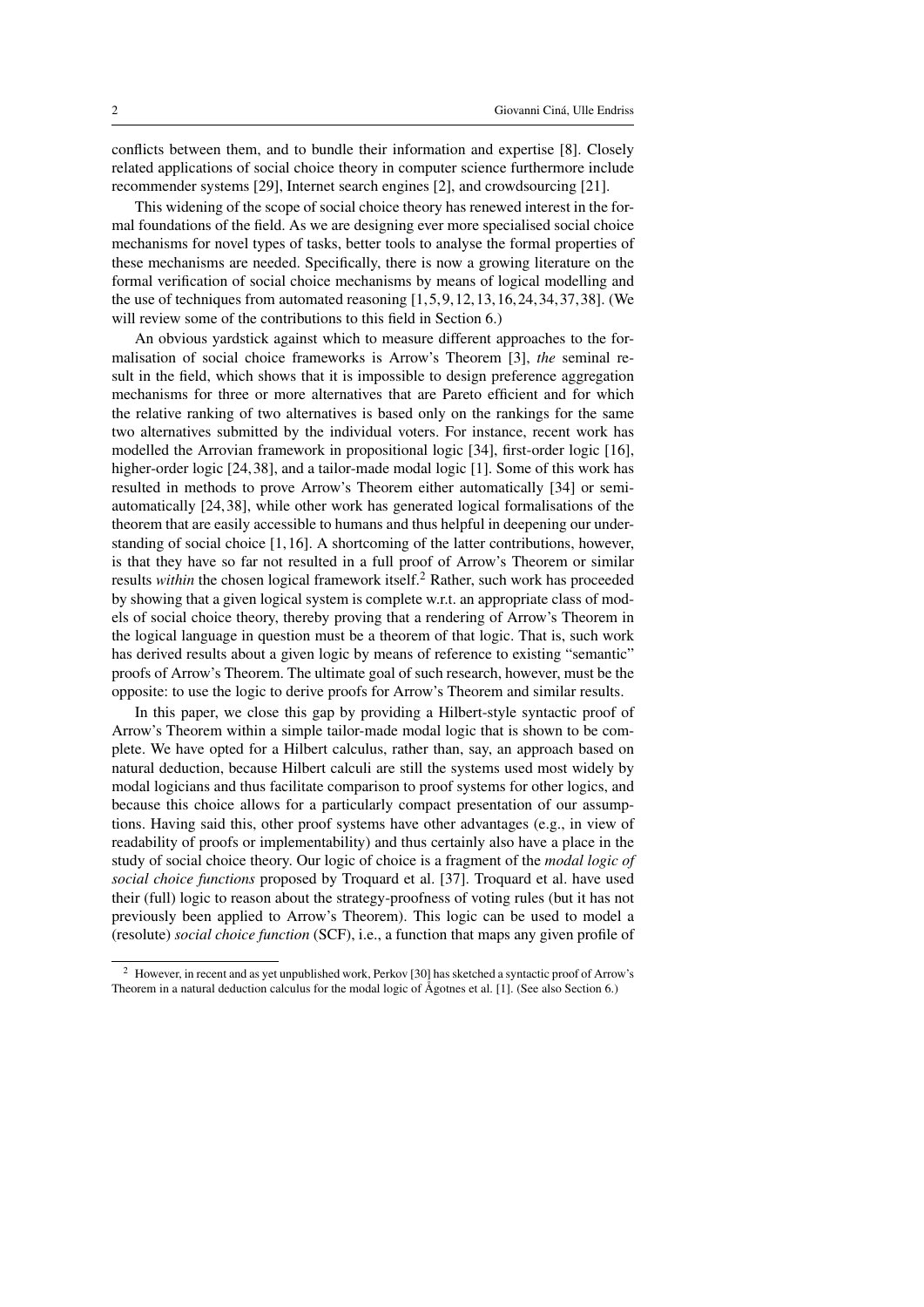conflicts between them, and to bundle their information and expertise [8]. Closely related applications of social choice theory in computer science furthermore include recommender systems [29], Internet search engines [2], and crowdsourcing [21].

This widening of the scope of social choice theory has renewed interest in the formal foundations of the field. As we are designing ever more specialised social choice mechanisms for novel types of tasks, better tools to analyse the formal properties of these mechanisms are needed. Specifically, there is now a growing literature on the formal verification of social choice mechanisms by means of logical modelling and the use of techniques from automated reasoning  $[1, 5, 9, 12, 13, 16, 24, 34, 37, 38]$ . (We will review some of the contributions to this field in Section 6.)

An obvious yardstick against which to measure different approaches to the formalisation of social choice frameworks is Arrow's Theorem [3], *the* seminal result in the field, which shows that it is impossible to design preference aggregation mechanisms for three or more alternatives that are Pareto efficient and for which the relative ranking of two alternatives is based only on the rankings for the same two alternatives submitted by the individual voters. For instance, recent work has modelled the Arrovian framework in propositional logic [34], first-order logic [16], higher-order logic [24, 38], and a tailor-made modal logic [1]. Some of this work has resulted in methods to prove Arrow's Theorem either automatically [34] or semiautomatically [24, 38], while other work has generated logical formalisations of the theorem that are easily accessible to humans and thus helpful in deepening our understanding of social choice [1, 16]. A shortcoming of the latter contributions, however, is that they have so far not resulted in a full proof of Arrow's Theorem or similar results *within* the chosen logical framework itself.<sup>2</sup> Rather, such work has proceeded by showing that a given logical system is complete w.r.t. an appropriate class of models of social choice theory, thereby proving that a rendering of Arrow's Theorem in the logical language in question must be a theorem of that logic. That is, such work has derived results about a given logic by means of reference to existing "semantic" proofs of Arrow's Theorem. The ultimate goal of such research, however, must be the opposite: to use the logic to derive proofs for Arrow's Theorem and similar results.

In this paper, we close this gap by providing a Hilbert-style syntactic proof of Arrow's Theorem within a simple tailor-made modal logic that is shown to be complete. We have opted for a Hilbert calculus, rather than, say, an approach based on natural deduction, because Hilbert calculi are still the systems used most widely by modal logicians and thus facilitate comparison to proof systems for other logics, and because this choice allows for a particularly compact presentation of our assumptions. Having said this, other proof systems have other advantages (e.g., in view of readability of proofs or implementability) and thus certainly also have a place in the study of social choice theory. Our logic of choice is a fragment of the *modal logic of social choice functions* proposed by Troquard et al. [37]. Troquard et al. have used their (full) logic to reason about the strategy-proofness of voting rules (but it has not previously been applied to Arrow's Theorem). This logic can be used to model a (resolute) *social choice function* (SCF), i.e., a function that maps any given profile of

<sup>2</sup> However, in recent and as yet unpublished work, Perkov [30] has sketched a syntactic proof of Arrow's Theorem in a natural deduction calculus for the modal logic of Ågotnes et al. [1]. (See also Section 6.)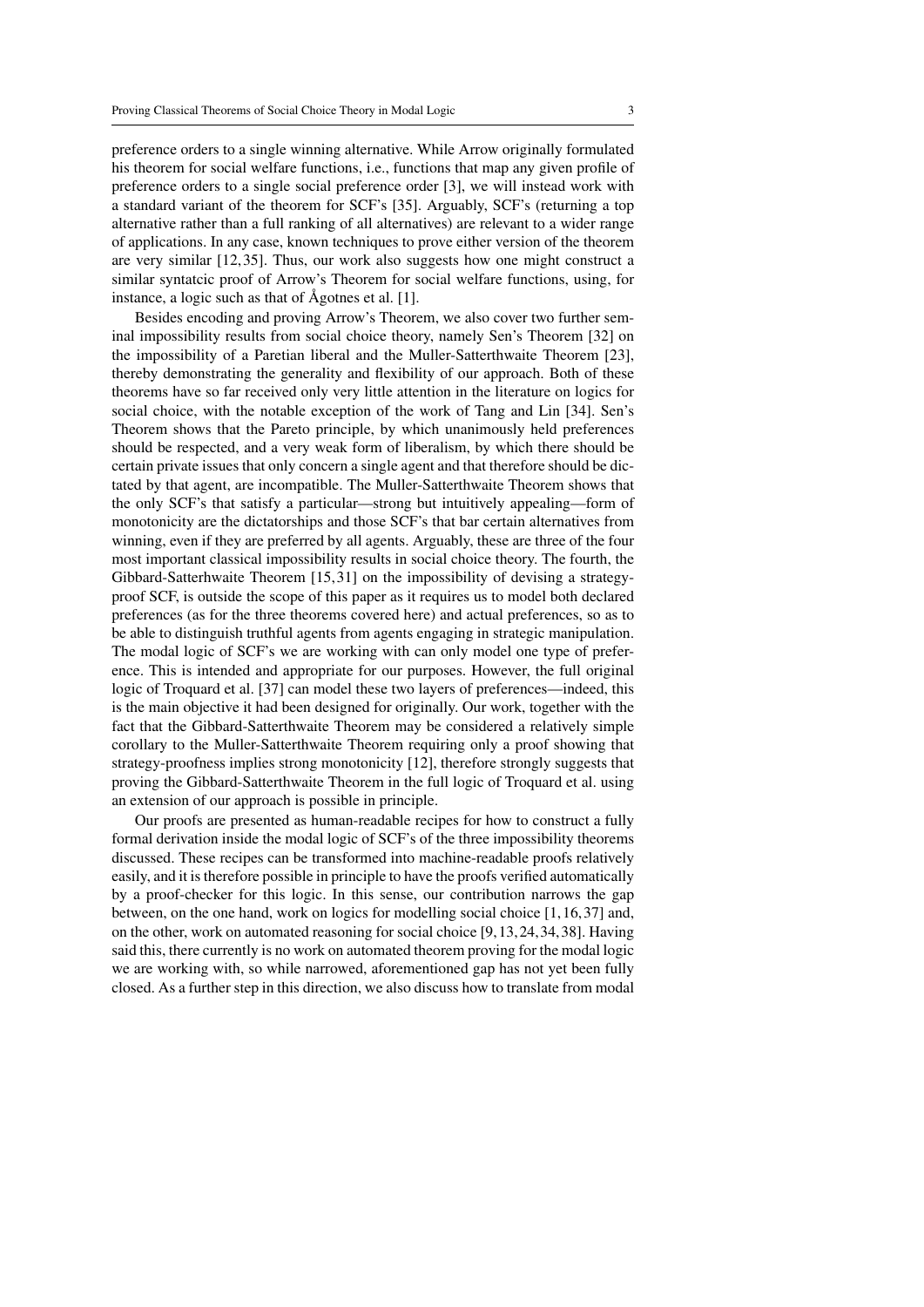preference orders to a single winning alternative. While Arrow originally formulated his theorem for social welfare functions, i.e., functions that map any given profile of preference orders to a single social preference order [3], we will instead work with a standard variant of the theorem for SCF's [35]. Arguably, SCF's (returning a top alternative rather than a full ranking of all alternatives) are relevant to a wider range of applications. In any case, known techniques to prove either version of the theorem are very similar [12, 35]. Thus, our work also suggests how one might construct a similar syntatcic proof of Arrow's Theorem for social welfare functions, using, for instance, a logic such as that of  $\AA$  gotnes et al. [1].

Besides encoding and proving Arrow's Theorem, we also cover two further seminal impossibility results from social choice theory, namely Sen's Theorem [32] on the impossibility of a Paretian liberal and the Muller-Satterthwaite Theorem [23], thereby demonstrating the generality and flexibility of our approach. Both of these theorems have so far received only very little attention in the literature on logics for social choice, with the notable exception of the work of Tang and Lin [34]. Sen's Theorem shows that the Pareto principle, by which unanimously held preferences should be respected, and a very weak form of liberalism, by which there should be certain private issues that only concern a single agent and that therefore should be dictated by that agent, are incompatible. The Muller-Satterthwaite Theorem shows that the only SCF's that satisfy a particular—strong but intuitively appealing—form of monotonicity are the dictatorships and those SCF's that bar certain alternatives from winning, even if they are preferred by all agents. Arguably, these are three of the four most important classical impossibility results in social choice theory. The fourth, the Gibbard-Satterhwaite Theorem [15, 31] on the impossibility of devising a strategyproof SCF, is outside the scope of this paper as it requires us to model both declared preferences (as for the three theorems covered here) and actual preferences, so as to be able to distinguish truthful agents from agents engaging in strategic manipulation. The modal logic of SCF's we are working with can only model one type of preference. This is intended and appropriate for our purposes. However, the full original logic of Troquard et al. [37] can model these two layers of preferences—indeed, this is the main objective it had been designed for originally. Our work, together with the fact that the Gibbard-Satterthwaite Theorem may be considered a relatively simple corollary to the Muller-Satterthwaite Theorem requiring only a proof showing that strategy-proofness implies strong monotonicity [12], therefore strongly suggests that proving the Gibbard-Satterthwaite Theorem in the full logic of Troquard et al. using an extension of our approach is possible in principle.

Our proofs are presented as human-readable recipes for how to construct a fully formal derivation inside the modal logic of SCF's of the three impossibility theorems discussed. These recipes can be transformed into machine-readable proofs relatively easily, and it is therefore possible in principle to have the proofs verified automatically by a proof-checker for this logic. In this sense, our contribution narrows the gap between, on the one hand, work on logics for modelling social choice [1, 16, 37] and, on the other, work on automated reasoning for social choice [9, 13, 24, 34, 38]. Having said this, there currently is no work on automated theorem proving for the modal logic we are working with, so while narrowed, aforementioned gap has not yet been fully closed. As a further step in this direction, we also discuss how to translate from modal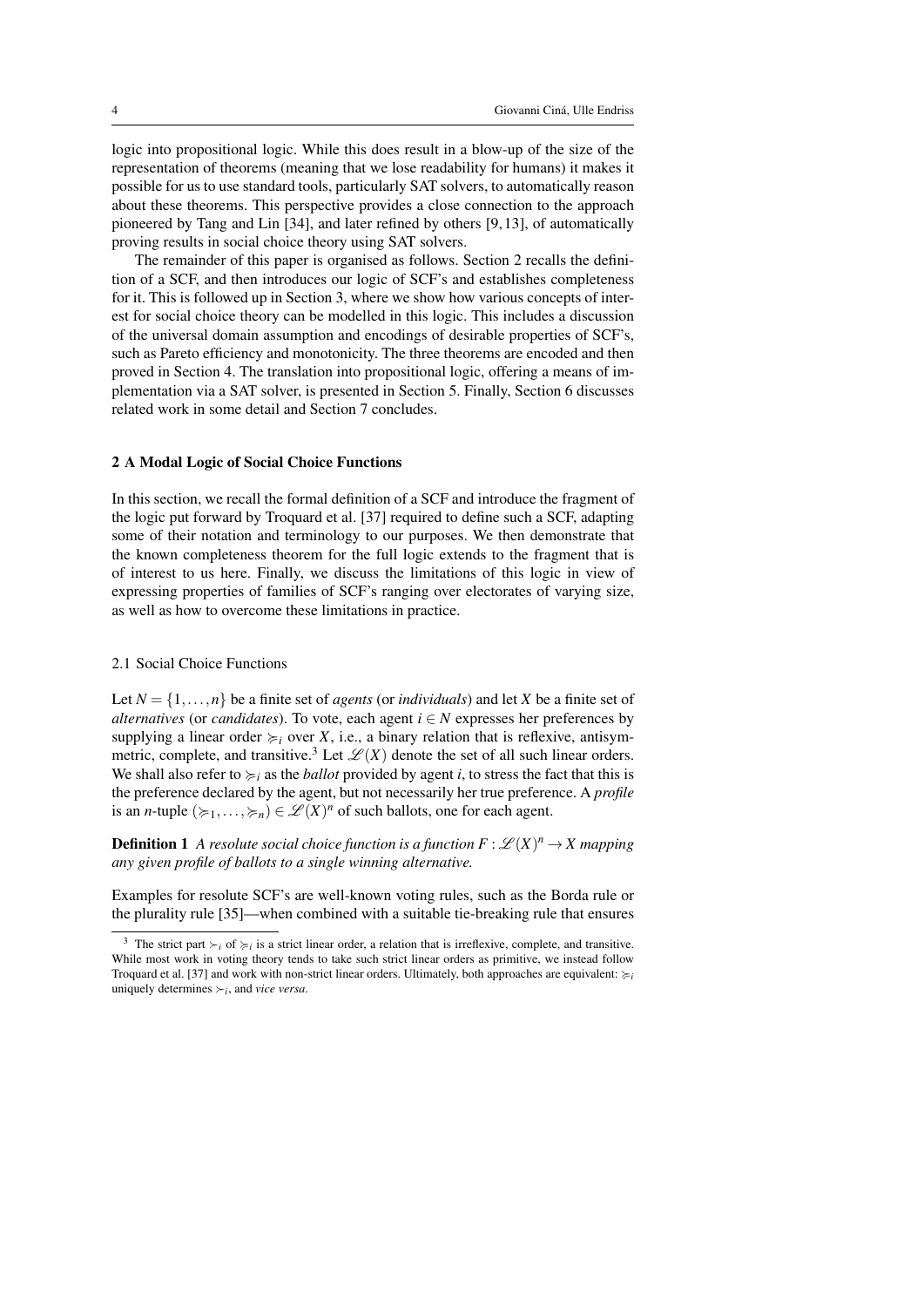logic into propositional logic. While this does result in a blow-up of the size of the representation of theorems (meaning that we lose readability for humans) it makes it possible for us to use standard tools, particularly SAT solvers, to automatically reason about these theorems. This perspective provides a close connection to the approach pioneered by Tang and Lin [34], and later refined by others [9, 13], of automatically proving results in social choice theory using SAT solvers.

The remainder of this paper is organised as follows. Section 2 recalls the definition of a SCF, and then introduces our logic of SCF's and establishes completeness for it. This is followed up in Section 3, where we show how various concepts of interest for social choice theory can be modelled in this logic. This includes a discussion of the universal domain assumption and encodings of desirable properties of SCF's, such as Pareto efficiency and monotonicity. The three theorems are encoded and then proved in Section 4. The translation into propositional logic, offering a means of implementation via a SAT solver, is presented in Section 5. Finally, Section 6 discusses related work in some detail and Section 7 concludes.

# 2 A Modal Logic of Social Choice Functions

In this section, we recall the formal definition of a SCF and introduce the fragment of the logic put forward by Troquard et al. [37] required to define such a SCF, adapting some of their notation and terminology to our purposes. We then demonstrate that the known completeness theorem for the full logic extends to the fragment that is of interest to us here. Finally, we discuss the limitations of this logic in view of expressing properties of families of SCF's ranging over electorates of varying size, as well as how to overcome these limitations in practice.

### 2.1 Social Choice Functions

Let  $N = \{1, \ldots, n\}$  be a finite set of *agents* (or *individuals*) and let X be a finite set of *alternatives* (or *candidates*). To vote, each agent  $i \in N$  expresses her preferences by supplying a linear order  $\succcurlyeq_i$  over *X*, i.e., a binary relation that is reflexive, antisymmetric, complete, and transitive.<sup>3</sup> Let  $\mathscr{L}(X)$  denote the set of all such linear orders. We shall also refer to  $\succeq_i$  as the *ballot* provided by agent *i*, to stress the fact that this is the preference declared by the agent, but not necessarily her true preference. A *profile* is an *n*-tuple  $(\succcurlyeq_1,\ldots,\succcurlyeq_n) \in \mathscr{L}(X)^n$  of such ballots, one for each agent.

**Definition 1** A resolute social choice function is a function  $F : \mathscr{L}(X)^n \to X$  mapping *any given profile of ballots to a single winning alternative.*

Examples for resolute SCF's are well-known voting rules, such as the Borda rule or the plurality rule [35]—when combined with a suitable tie-breaking rule that ensures

<sup>&</sup>lt;sup>3</sup> The strict part  $\succ_i$  of  $\succ_i$  is a strict linear order, a relation that is irreflexive, complete, and transitive. While most work in voting theory tends to take such strict linear orders as primitive, we instead follow Troquard et al. [37] and work with non-strict linear orders. Ultimately, both approaches are equivalent: <*<sup>i</sup>* uniquely determines  $\succ_i$ , and *vice versa*.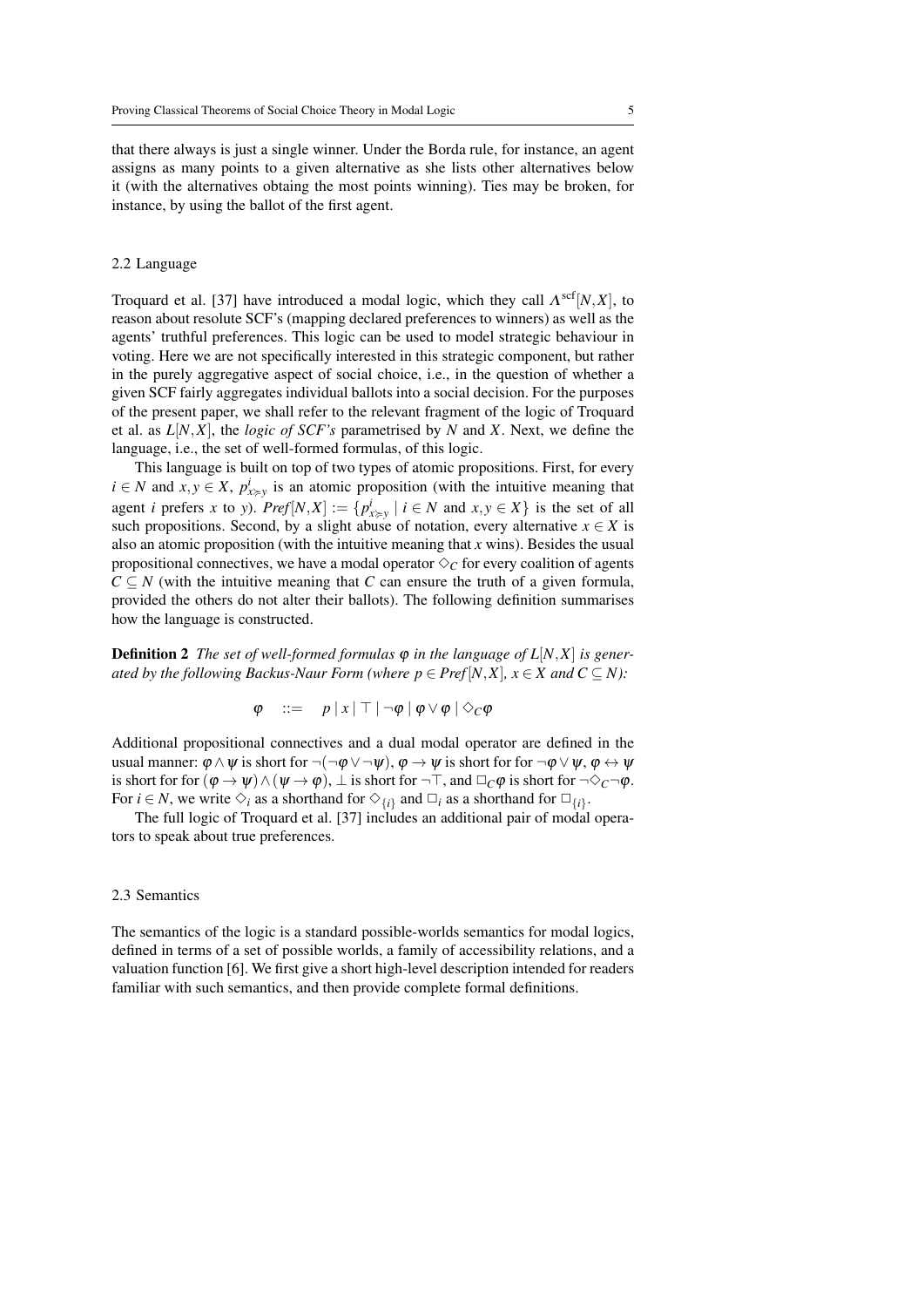that there always is just a single winner. Under the Borda rule, for instance, an agent assigns as many points to a given alternative as she lists other alternatives below it (with the alternatives obtaing the most points winning). Ties may be broken, for instance, by using the ballot of the first agent.

### 2.2 Language

Troquard et al. [37] have introduced a modal logic, which they call  $\Lambda^{scf}[N,X]$ , to reason about resolute SCF's (mapping declared preferences to winners) as well as the agents' truthful preferences. This logic can be used to model strategic behaviour in voting. Here we are not specifically interested in this strategic component, but rather in the purely aggregative aspect of social choice, i.e., in the question of whether a given SCF fairly aggregates individual ballots into a social decision. For the purposes of the present paper, we shall refer to the relevant fragment of the logic of Troquard et al. as *L*[*N*,*X*], the *logic of SCF's* parametrised by *N* and *X*. Next, we define the language, i.e., the set of well-formed formulas, of this logic.

This language is built on top of two types of atomic propositions. First, for every  $i \in N$  and  $x, y \in X$ ,  $p_{x \succ y}^i$  is an atomic proposition (with the intuitive meaning that agent *i* prefers *x* to *y*). *Pref*[*N*,*X*] := { $p^i_{x \succ y}$  | *i*  $\in N$  and  $x, y \in X$ } is the set of all such propositions. Second, by a slight abuse of notation, every alternative  $x \in X$  is also an atomic proposition (with the intuitive meaning that *x* wins). Besides the usual propositional connectives, we have a modal operator  $\Diamond_C$  for every coalition of agents  $C \subseteq N$  (with the intuitive meaning that *C* can ensure the truth of a given formula, provided the others do not alter their ballots). The following definition summarises how the language is constructed.

**Definition 2** *The set of well-formed formulas*  $\varphi$  *in the language of*  $L[N,X]$  *is generated by the following Backus-Naur Form (where*  $p \in Pref[N,X]$ *,*  $x \in X$  *and*  $C \subseteq N$ *):* 

$$
\varphi \quad ::= \quad p \mid x \mid \top \mid \neg \varphi \mid \varphi \vee \varphi \mid \Diamond_C \varphi
$$

Additional propositional connectives and a dual modal operator are defined in the usual manner:  $\varphi \wedge \psi$  is short for  $\neg(\neg \varphi \vee \neg \psi)$ ,  $\varphi \rightarrow \psi$  is short for for  $\neg \varphi \vee \psi$ ,  $\varphi \leftrightarrow \psi$ is short for for  $(\varphi \to \psi) \land (\psi \to \varphi)$ ,  $\perp$  is short for  $\neg \top$ , and  $\Box_C \varphi$  is short for  $\neg \Diamond_C \neg \varphi$ . For  $i \in N$ , we write  $\Diamond_i$  as a shorthand for  $\Diamond_{\{i\}}$  and  $\Box_i$  as a shorthand for  $\Box_{\{i\}}$ .

The full logic of Troquard et al. [37] includes an additional pair of modal operators to speak about true preferences.

#### 2.3 Semantics

The semantics of the logic is a standard possible-worlds semantics for modal logics, defined in terms of a set of possible worlds, a family of accessibility relations, and a valuation function [6]. We first give a short high-level description intended for readers familiar with such semantics, and then provide complete formal definitions.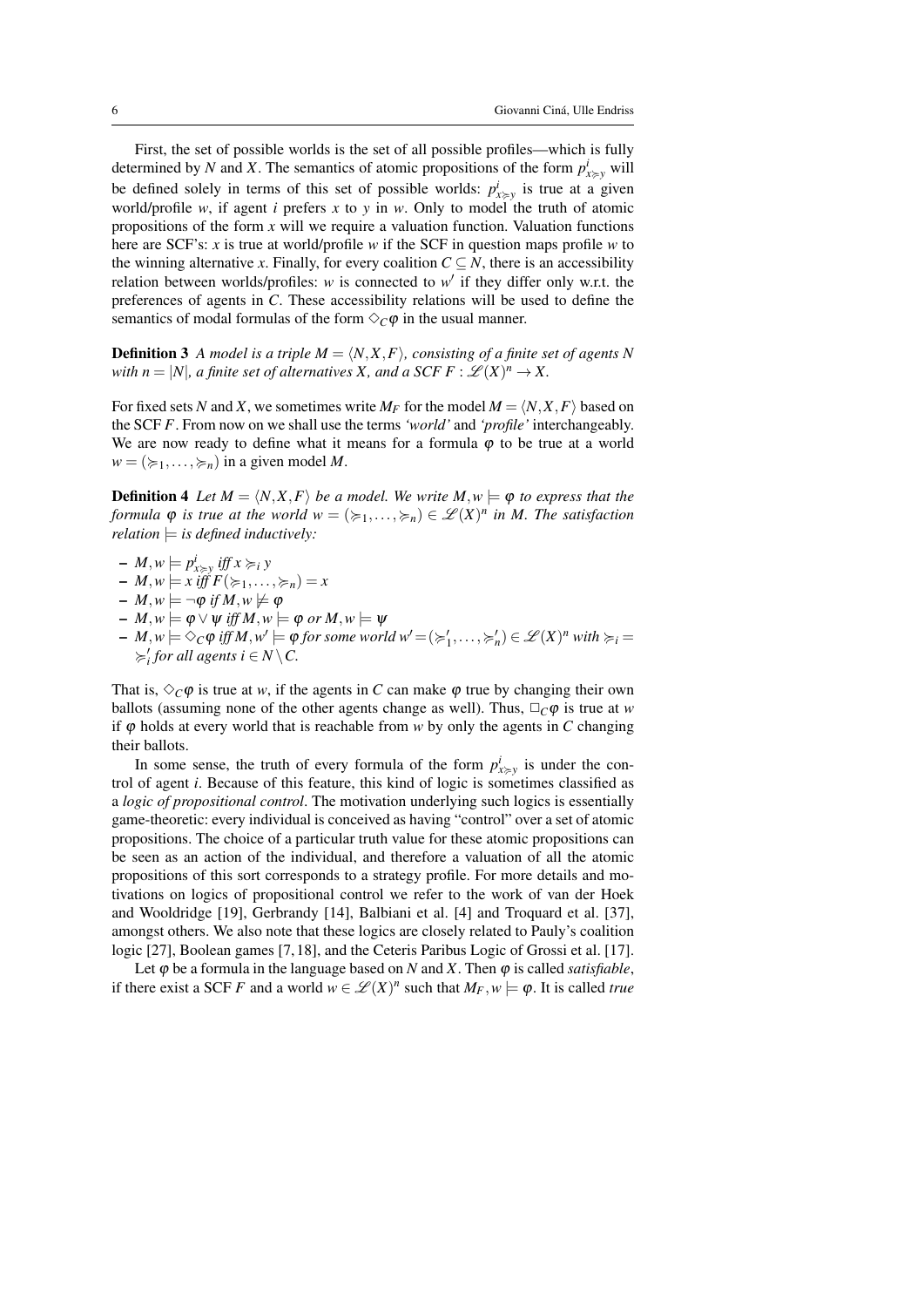First, the set of possible worlds is the set of all possible profiles—which is fully determined by *N* and *X*. The semantics of atomic propositions of the form  $p_{x \succ y}^i$  will be defined solely in terms of this set of possible worlds:  $p_{x \succ y}^i$  is true at a given world/profile *w*, if agent *i* prefers *x* to *y* in *w*. Only to model the truth of atomic propositions of the form *x* will we require a valuation function. Valuation functions here are SCF's: *x* is true at world/profile *w* if the SCF in question maps profile *w* to the winning alternative *x*. Finally, for every coalition  $C \subseteq N$ , there is an accessibility relation between worlds/profiles:  $w$  is connected to  $w'$  if they differ only w.r.t. the preferences of agents in *C*. These accessibility relations will be used to define the semantics of modal formulas of the form  $\Diamond_C \varphi$  in the usual manner.

**Definition 3** *A model is a triple*  $M = \langle N, X, F \rangle$ *, consisting of a finite set of agents N with*  $n = |N|$ , *a finite set of alternatives X*, *and a SCF F* :  $\mathscr{L}(X)^n \to X$ .

For fixed sets *N* and *X*, we sometimes write  $M_F$  for the model  $M = \langle N, X, F \rangle$  based on the SCF *F*. From now on we shall use the terms *'world'* and *'profile'* interchangeably. We are now ready to define what it means for a formula  $\varphi$  to be true at a world  $w = (\succcurlyeq_1, \ldots, \succcurlyeq_n)$  in a given model *M*.

**Definition 4** *Let*  $M = \langle N, X, F \rangle$  *be a model. We write*  $M, w \models \varphi$  *to express that the formula*  $\varphi$  *is true at the world*  $w = (\succcurlyeq_1, \ldots, \succcurlyeq_n) \in \mathscr{L}(X)^n$  *in M. The satisfaction*  $relation \models is defined inductively:$ 

- $-M, w \models p_{x \succcurlyeq y}^i$  *iff*  $x \succcurlyeq_i y$  $-M$ ,  $w \models x$  iff  $F(\succcurlyeq_1,\ldots,\succcurlyeq_n) = x$  $-M$ ,  $w \models \neg \varphi$  *if*  $M$ ,  $w \not\models \varphi$
- $-M, w \models \varphi \lor \psi \text{ iff } M, w \models \varphi \text{ or } M, w \models \psi$
- $-M,w \models \Diamond_C \varphi \text{ iff } M,w' \models \varphi \text{ for some world } w' = (\succcurlyeq_1',\ldots,\succ_n') \in \mathscr{L}(X)^n \text{ with } \succcurlyeq_i = 0$  $\succcurlyeq_i'$  for all agents  $i \in N \setminus C$ .

That is,  $\Diamond_C \varphi$  is true at *w*, if the agents in *C* can make  $\varphi$  true by changing their own ballots (assuming none of the other agents change as well). Thus,  $\Box_C \varphi$  is true at *w* if  $\varphi$  holds at every world that is reachable from  $w$  by only the agents in  $C$  changing their ballots.

In some sense, the truth of every formula of the form  $p_{x\geq y}^i$  is under the control of agent *i*. Because of this feature, this kind of logic is sometimes classified as a *logic of propositional control*. The motivation underlying such logics is essentially game-theoretic: every individual is conceived as having "control" over a set of atomic propositions. The choice of a particular truth value for these atomic propositions can be seen as an action of the individual, and therefore a valuation of all the atomic propositions of this sort corresponds to a strategy profile. For more details and motivations on logics of propositional control we refer to the work of van der Hoek and Wooldridge [19], Gerbrandy [14], Balbiani et al. [4] and Troquard et al. [37], amongst others. We also note that these logics are closely related to Pauly's coalition logic [27], Boolean games [7, 18], and the Ceteris Paribus Logic of Grossi et al. [17].

Let  $\varphi$  be a formula in the language based on *N* and *X*. Then  $\varphi$  is called *satisfiable*, if there exist a SCF *F* and a world  $w \in \mathcal{L}(X)^n$  such that  $M_F$ ,  $w \models \varphi$ . It is called *true*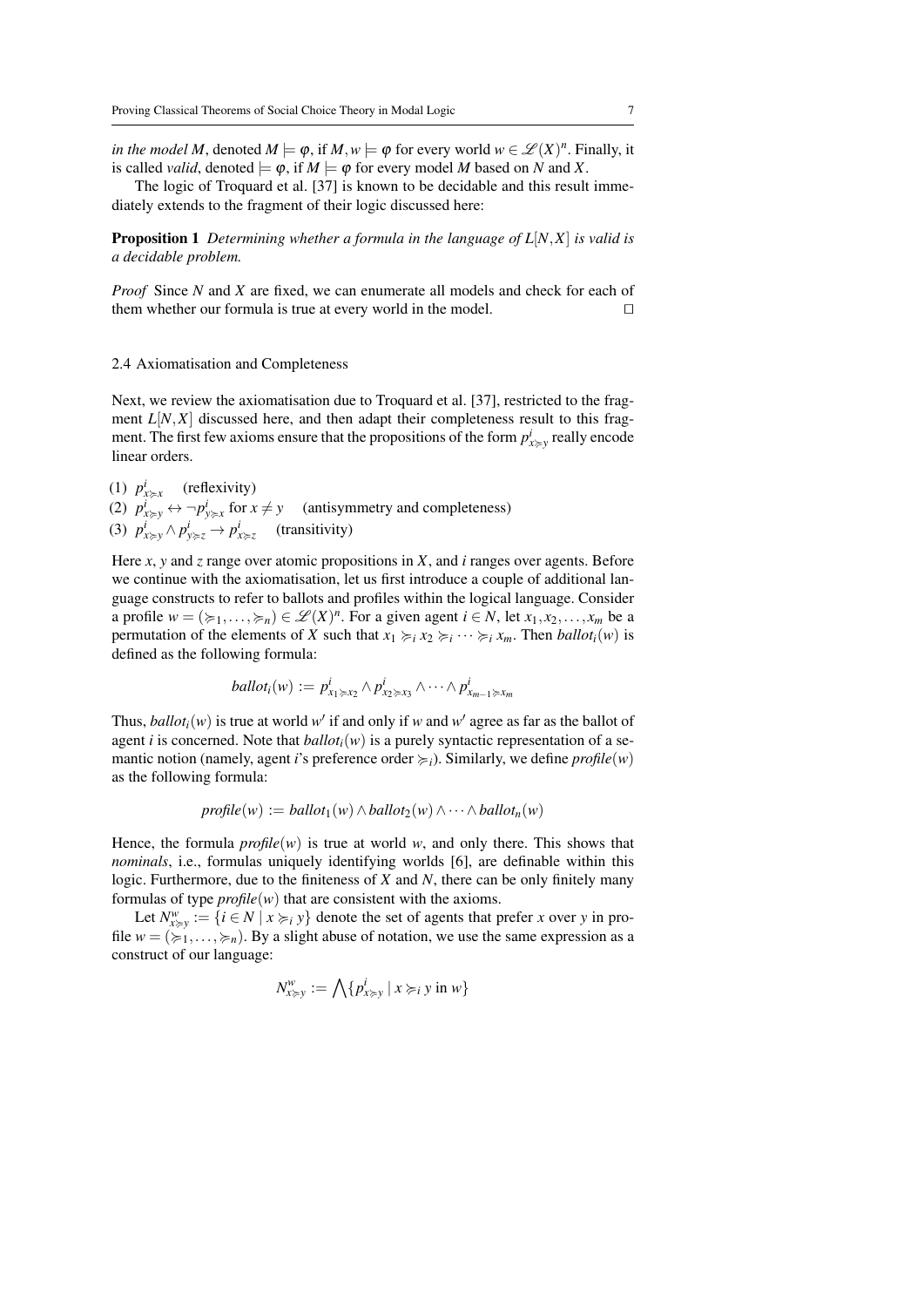*in the model M*, denoted  $M \models \varphi$ , if  $M, w \models \varphi$  for every world  $w \in \mathscr{L}(X)^n$ . Finally, it is called *valid*, denoted  $\models \varphi$ , if  $M \models \varphi$  for every model M based on N and X.

The logic of Troquard et al. [37] is known to be decidable and this result immediately extends to the fragment of their logic discussed here:

Proposition 1 *Determining whether a formula in the language of L*[*N*,*X*] *is valid is a decidable problem.*

*Proof* Since *N* and *X* are fixed, we can enumerate all models and check for each of them whether our formula is true at every world in the model.  $\Box$ 

# 2.4 Axiomatisation and Completeness

Next, we review the axiomatisation due to Troquard et al. [37], restricted to the fragment  $L[N,X]$  discussed here, and then adapt their completeness result to this fragment. The first few axioms ensure that the propositions of the form  $p^i_{x \succ y}$  really encode linear orders.

(1)  $p_{x \succ x}^i$  (reflexivity) (2)  $p_{x \succ y}^i \leftrightarrow \neg p_{y \succ x}^i$  for  $x \neq y$  (antisymmetry and completeness) (3)  $p_{x \succ y}^i \wedge p_{y \succ z}^i \rightarrow p_{x \succ z}^i$  (transitivity)

Here *x*, *y* and *z* range over atomic propositions in *X*, and *i* ranges over agents. Before we continue with the axiomatisation, let us first introduce a couple of additional language constructs to refer to ballots and profiles within the logical language. Consider a profile  $w = (\succcurlyeq_1, \ldots, \succcurlyeq_n) \in \mathcal{L}(X)^n$ . For a given agent  $i \in N$ , let  $x_1, x_2, \ldots, x_m$  be a permutation of the elements of *X* such that  $x_1 \succcurlyeq_i x_2 \succcurlyeq_i \cdots \succcurlyeq_i x_m$ . Then *ballot<sub>i</sub>*(*w*) is defined as the following formula:

$$
ballot_i(w) := p^i_{x_1 \succcurlyeq x_2} \wedge p^i_{x_2 \succcurlyeq x_3} \wedge \cdots \wedge p^i_{x_{m-1} \succcurlyeq x_m}
$$

Thus, *ballot<sub>i</sub>*(*w*) is true at world *w*<sup>*i*</sup> if and only if *w* and *w*<sup>*i*</sup> agree as far as the ballot of agent *i* is concerned. Note that  $ballot_i(w)$  is a purely syntactic representation of a semantic notion (namely, agent *i*'s preference order  $\succcurlyeq$ ). Similarly, we define *profile*(*w*) as the following formula:

$$
profile(w) := ballot_1(w) \wedge ballot_2(w) \wedge \cdots \wedge ballot_n(w)
$$

Hence, the formula *profile*( $w$ ) is true at world  $w$ , and only there. This shows that *nominals*, i.e., formulas uniquely identifying worlds [6], are definable within this logic. Furthermore, due to the finiteness of *X* and *N*, there can be only finitely many formulas of type *profile*(*w*) that are consistent with the axioms.

Let  $N_{x \succ y}^w := \{ i \in N \mid x \succ y \}$  denote the set of agents that prefer *x* over *y* in profile  $w = (\succeq_1, \ldots, \succeq_n)$ . By a slight abuse of notation, we use the same expression as a construct of our language:

$$
N_{x \succcurlyeq y}^w := \bigwedge \{ p_{x \succcurlyeq y}^i \mid x \succcurlyeq_i y \text{ in } w \}
$$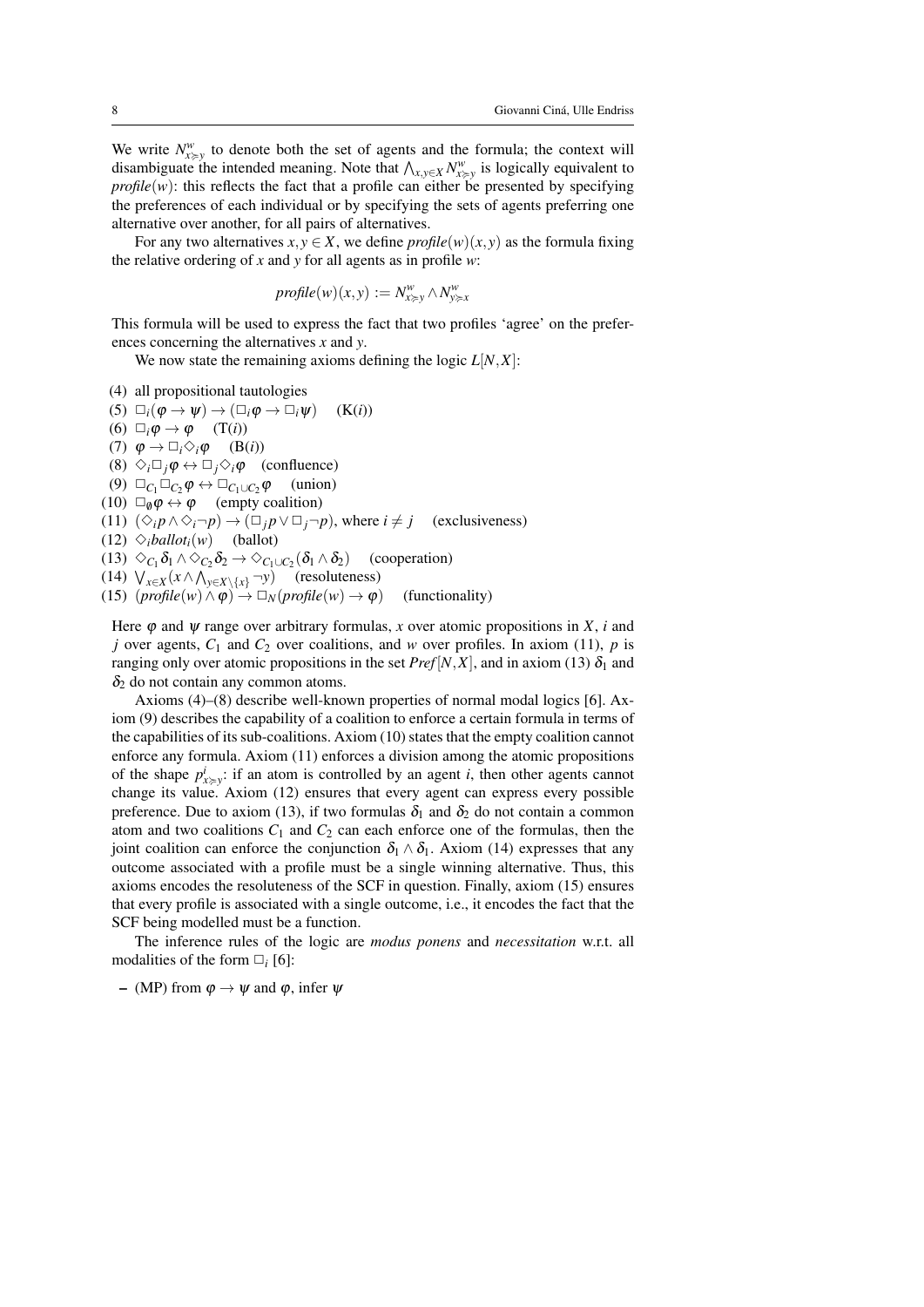We write  $N_{x\geq y}^w$  to denote both the set of agents and the formula; the context will disambiguate the intended meaning. Note that  $\bigwedge_{x,y\in X} N_{x\geq y}^w$  is logically equivalent to  $profile(w)$ : this reflects the fact that a profile can either be presented by specifying the preferences of each individual or by specifying the sets of agents preferring one alternative over another, for all pairs of alternatives.

For any two alternatives  $x, y \in X$ , we define *profile*(*w*)(*x*, *y*) as the formula fixing the relative ordering of *x* and *y* for all agents as in profile *w*:

$$
profile(w)(x,y) := N_{x \succcurlyeq y}^w \wedge N_{y \succcurlyeq x}^w
$$

This formula will be used to express the fact that two profiles 'agree' on the preferences concerning the alternatives *x* and *y*.

We now state the remaining axioms defining the logic *L*[*N*,*X*]:

(4) all propositional tautologies (5)  $\Box_i(\varphi \to \psi) \to (\Box_i \varphi \to \Box_i \psi)$  (K(*i*)) (6)  $\Box_i \varphi \rightarrow \varphi$  (T(*i*)) (7)  $\varphi \rightarrow \Box_i \Diamond_i \varphi$  (B(*i*)) (8)  $\Diamond_i \Box_j \varphi \leftrightarrow \Box_j \Diamond_i \varphi$  (confluence) (9)  $\Box_{C_1} \Box_{C_2} \varphi \leftrightarrow \Box_{C_1 \cup C_2} \varphi$  (union) (10)  $\Box_{\emptyset} \varphi \leftrightarrow \varphi$  (empty coalition) (11)  $(\Diamond_i p \land \Diamond_i \neg p) \rightarrow (\Box_i p \lor \Box_i \neg p)$ , where  $i \neq j$  (exclusiveness)  $(12)$   $\Diamond_i$ *ballot*<sub>*i*</sub>(*w*) (ballot) (13)  $\Diamond_{C_1} \delta_1 \land \Diamond_{C_2} \delta_2 \rightarrow \Diamond_{C_1 \cup C_2} (\delta_1 \land \delta_2)$  (cooperation) (14)  $\bigvee_{x \in X} (x \land \bigwedge_{y \in X \setminus \{x\}} \neg y)$  (resoluteness) (15)  $(\text{profile}(w) \land \varphi) \rightarrow \Box_N(\text{profile}(w) \rightarrow \varphi)$  (functionality)

Here  $\varphi$  and  $\psi$  range over arbitrary formulas, *x* over atomic propositions in *X*, *i* and *j* over agents,  $C_1$  and  $C_2$  over coalitions, and *w* over profiles. In axiom (11), *p* is ranging only over atomic propositions in the set *Pref*[*N*,*X*], and in axiom (13)  $\delta_1$  and  $\delta_2$  do not contain any common atoms.

Axioms (4)–(8) describe well-known properties of normal modal logics [6]. Axiom (9) describes the capability of a coalition to enforce a certain formula in terms of the capabilities of its sub-coalitions. Axiom (10) states that the empty coalition cannot enforce any formula. Axiom (11) enforces a division among the atomic propositions of the shape  $p_{\lambda \succ y}^i$ : if an atom is controlled by an agent *i*, then other agents cannot change its value. Axiom (12) ensures that every agent can express every possible preference. Due to axiom (13), if two formulas  $\delta_1$  and  $\delta_2$  do not contain a common atom and two coalitions  $C_1$  and  $C_2$  can each enforce one of the formulas, then the joint coalition can enforce the conjunction  $\delta_1 \wedge \delta_1$ . Axiom (14) expresses that any outcome associated with a profile must be a single winning alternative. Thus, this axioms encodes the resoluteness of the SCF in question. Finally, axiom (15) ensures that every profile is associated with a single outcome, i.e., it encodes the fact that the SCF being modelled must be a function.

The inference rules of the logic are *modus ponens* and *necessitation* w.r.t. all modalities of the form  $\Box_i$  [6]:

– (MP) from  $\varphi \to \psi$  and  $\varphi$ , infer  $\psi$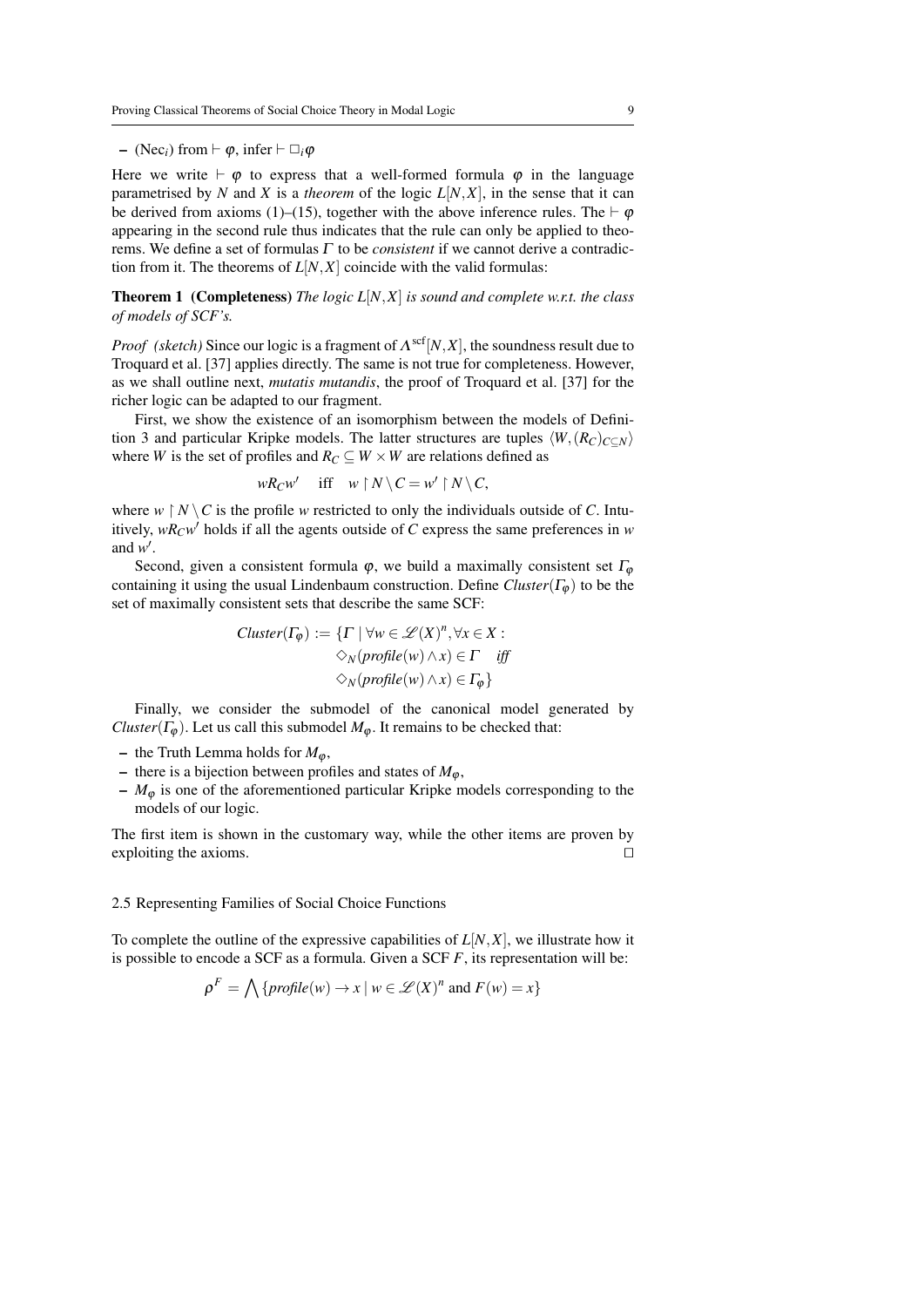$-$  (Nec<sub>*i*</sub>) from  $\vdash \varphi$ , infer  $\vdash \Box_i \varphi$ 

Here we write  $\vdash \varphi$  to express that a well-formed formula  $\varphi$  in the language parametrised by *N* and *X* is a *theorem* of the logic *L*[*N*,*X*], in the sense that it can be derived from axioms (1)–(15), together with the above inference rules. The  $\vdash \varphi$ appearing in the second rule thus indicates that the rule can only be applied to theorems. We define a set of formulas Γ to be *consistent* if we cannot derive a contradiction from it. The theorems of  $L[N,X]$  coincide with the valid formulas:

Theorem 1 (Completeness) *The logic L*[*N*,*X*] *is sound and complete w.r.t. the class of models of SCF's.*

*Proof (sketch)* Since our logic is a fragment of  $\Lambda^{\text{scf}}[N,X]$ , the soundness result due to Troquard et al. [37] applies directly. The same is not true for completeness. However, as we shall outline next, *mutatis mutandis*, the proof of Troquard et al. [37] for the richer logic can be adapted to our fragment.

First, we show the existence of an isomorphism between the models of Definition 3 and particular Kripke models. The latter structures are tuples  $\langle W, (R_C)_{C\subseteq N} \rangle$ where *W* is the set of profiles and  $R_C \subseteq W \times W$  are relations defined as

$$
wR_Cw'\quad\text{ iff }\quad w\upharpoonright N\setminus C=w'\upharpoonright N\setminus C,
$$

where  $w \restriction N \setminus C$  is the profile *w* restricted to only the individuals outside of *C*. Intuitively,  $wR_Cw'$  holds if all the agents outside of *C* express the same preferences in  $w$ and  $w'$ .

Second, given a consistent formula  $\varphi$ , we build a maximally consistent set  $\Gamma_{\varphi}$ containing it using the usual Lindenbaum construction. Define  $Cluster(\Gamma_{\varphi})$  to be the set of maximally consistent sets that describe the same SCF:

Cluster(
$$
\Gamma_{\varphi}
$$
) := { $\Gamma \mid \forall w \in \mathcal{L}(X)^n, \forall x \in X$  :  
\n $\diamond_N(\text{profile}(w) \land x) \in \Gamma \quad \text{iff}$   
\n $\diamond_N(\text{profile}(w) \land x) \in \Gamma_{\varphi}$ }

Finally, we consider the submodel of the canonical model generated by *Cluster*( $\Gamma$ <sub> $\alpha$ </sub>). Let us call this submodel  $M_{\alpha}$ . It remains to be checked that:

- the Truth Lemma holds for  $M_{\varphi}$ ,
- there is a bijection between profiles and states of  $M_{\varphi}$ ,
- $-M_{\omega}$  is one of the aforementioned particular Kripke models corresponding to the models of our logic.

The first item is shown in the customary way, while the other items are proven by exploiting the axioms.  $\Box$ 

#### 2.5 Representing Families of Social Choice Functions

To complete the outline of the expressive capabilities of *L*[*N*,*X*], we illustrate how it is possible to encode a SCF as a formula. Given a SCF *F*, its representation will be:

$$
\rho^F = \bigwedge \{profile(w) \to x \mid w \in \mathcal{L}(X)^n \text{ and } F(w) = x\}
$$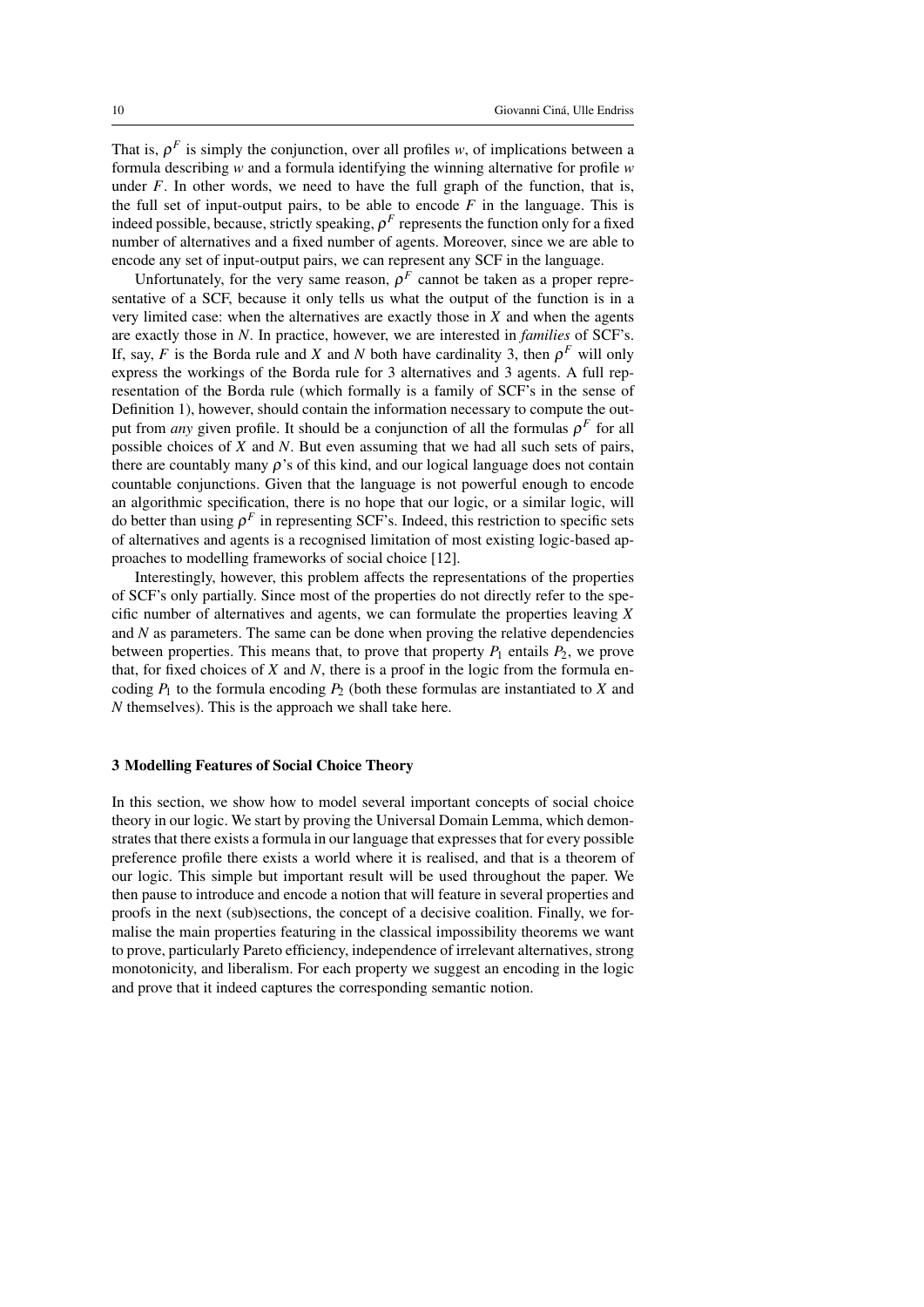That is,  $\rho^F$  is simply the conjunction, over all profiles *w*, of implications between a formula describing *w* and a formula identifying the winning alternative for profile *w* under  $F$ . In other words, we need to have the full graph of the function, that is, the full set of input-output pairs, to be able to encode  $F$  in the language. This is indeed possible, because, strictly speaking,  $\rho^F$  represents the function only for a fixed number of alternatives and a fixed number of agents. Moreover, since we are able to encode any set of input-output pairs, we can represent any SCF in the language.

Unfortunately, for the very same reason,  $\rho^F$  cannot be taken as a proper representative of a SCF, because it only tells us what the output of the function is in a very limited case: when the alternatives are exactly those in *X* and when the agents are exactly those in *N*. In practice, however, we are interested in *families* of SCF's. If, say, *F* is the Borda rule and *X* and *N* both have cardinality 3, then  $\rho^F$  will only express the workings of the Borda rule for 3 alternatives and 3 agents. A full representation of the Borda rule (which formally is a family of SCF's in the sense of Definition 1), however, should contain the information necessary to compute the output from *any* given profile. It should be a conjunction of all the formulas  $\rho^F$  for all possible choices of *X* and *N*. But even assuming that we had all such sets of pairs, there are countably many  $\rho$ 's of this kind, and our logical language does not contain countable conjunctions. Given that the language is not powerful enough to encode an algorithmic specification, there is no hope that our logic, or a similar logic, will do better than using  $\rho^F$  in representing SCF's. Indeed, this restriction to specific sets of alternatives and agents is a recognised limitation of most existing logic-based approaches to modelling frameworks of social choice [12].

Interestingly, however, this problem affects the representations of the properties of SCF's only partially. Since most of the properties do not directly refer to the specific number of alternatives and agents, we can formulate the properties leaving *X* and  $N$  as parameters. The same can be done when proving the relative dependencies between properties. This means that, to prove that property  $P_1$  entails  $P_2$ , we prove that, for fixed choices of *X* and *N*, there is a proof in the logic from the formula encoding  $P_1$  to the formula encoding  $P_2$  (both these formulas are instantiated to  $\overline{X}$  and *N* themselves). This is the approach we shall take here.

### 3 Modelling Features of Social Choice Theory

In this section, we show how to model several important concepts of social choice theory in our logic. We start by proving the Universal Domain Lemma, which demonstrates that there exists a formula in our language that expresses that for every possible preference profile there exists a world where it is realised, and that is a theorem of our logic. This simple but important result will be used throughout the paper. We then pause to introduce and encode a notion that will feature in several properties and proofs in the next (sub)sections, the concept of a decisive coalition. Finally, we formalise the main properties featuring in the classical impossibility theorems we want to prove, particularly Pareto efficiency, independence of irrelevant alternatives, strong monotonicity, and liberalism. For each property we suggest an encoding in the logic and prove that it indeed captures the corresponding semantic notion.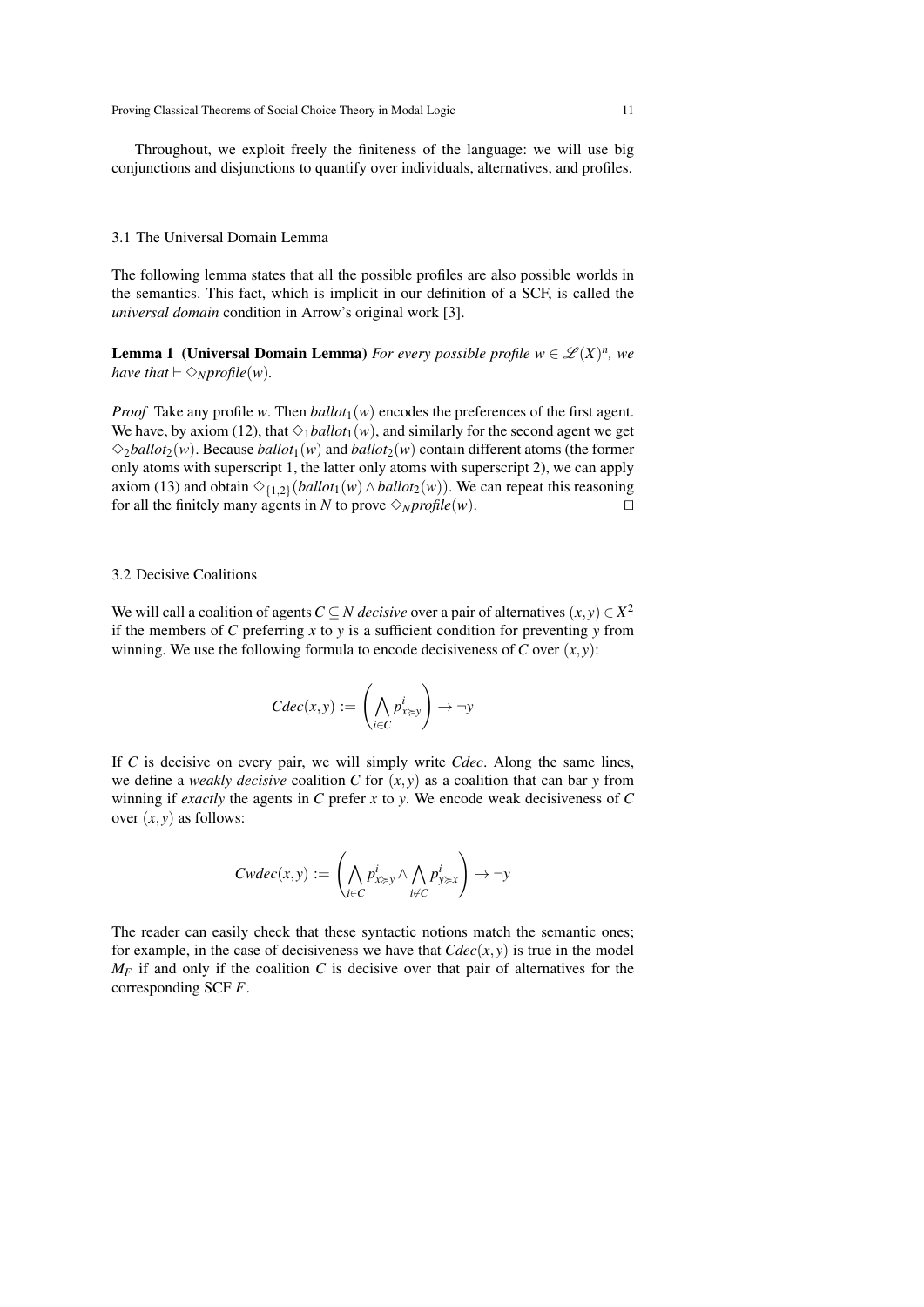Throughout, we exploit freely the finiteness of the language: we will use big conjunctions and disjunctions to quantify over individuals, alternatives, and profiles.

### 3.1 The Universal Domain Lemma

The following lemma states that all the possible profiles are also possible worlds in the semantics. This fact, which is implicit in our definition of a SCF, is called the *universal domain* condition in Arrow's original work [3].

**Lemma 1** (Universal Domain Lemma) *For every possible profile*  $w \in \mathscr{L}(X)^n$ *, we have that*  $\vdash \Diamond_N$ *profile*(*w*).

*Proof* Take any profile *w*. Then  $ballot_1(w)$  encodes the preferences of the first agent. We have, by axiom (12), that  $\Diamond_1$ *ballot*<sub>1</sub>(*w*), and similarly for the second agent we get  $\Diamond_2$ *ballot*<sub>2</sub>(*w*). Because *ballot*<sub>1</sub>(*w*) and *ballot*<sub>2</sub>(*w*) contain different atoms (the former only atoms with superscript 1, the latter only atoms with superscript 2), we can apply axiom (13) and obtain  $\Diamond$ <sub>{1,2}</sub> (*ballot*<sub>1</sub>(*w*)  $\land$  *ballot*<sub>2</sub>(*w*)). We can repeat this reasoning for all the finitely many agents in *N* to prove  $\Diamond_N$ *profile*(*w*).

# 3.2 Decisive Coalitions

We will call a coalition of agents  $C \subseteq N$  *decisive* over a pair of alternatives  $(x, y) \in X^2$ if the members of *C* preferring *x* to *y* is a sufficient condition for preventing *y* from winning. We use the following formula to encode decisiveness of  $C$  over  $(x, y)$ :

$$
Cdec(x,y) := \left(\bigwedge_{i \in C} p_{x \succ y}^i\right) \to \neg y
$$

If *C* is decisive on every pair, we will simply write *Cdec*. Along the same lines, we define a *weakly decisive* coalition *C* for  $(x, y)$  as a coalition that can bar *y* from winning if *exactly* the agents in *C* prefer *x* to *y*. We encode weak decisiveness of *C* over  $(x, y)$  as follows:

$$
Cwdec(x,y) := \left(\bigwedge_{i \in C} p_{x \succcurlyeq y}^i \land \bigwedge_{i \notin C} p_{y \succcurlyeq x}^i\right) \to \neg y
$$

The reader can easily check that these syntactic notions match the semantic ones; for example, in the case of decisiveness we have that  $Cdec(x, y)$  is true in the model  $M_F$  if and only if the coalition *C* is decisive over that pair of alternatives for the corresponding SCF *F*.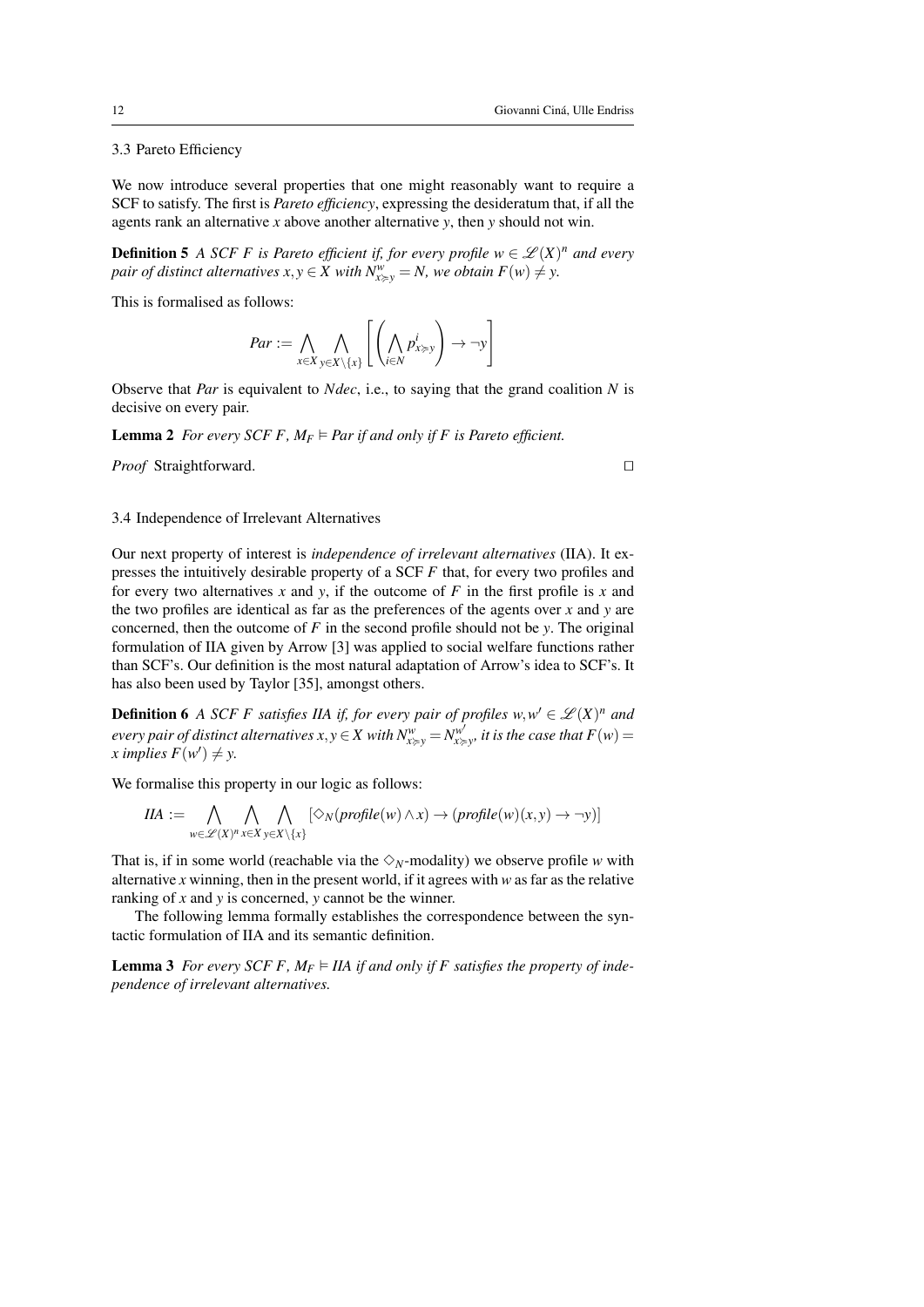# 3.3 Pareto Efficiency

We now introduce several properties that one might reasonably want to require a SCF to satisfy. The first is *Pareto efficiency*, expressing the desideratum that, if all the agents rank an alternative *x* above another alternative *y*, then *y* should not win.

**Definition 5** A SCF F is Pareto efficient if, for every profile  $w \in \mathcal{L}(X)^n$  and every *pair of distinct alternatives*  $x, y \in X$  with  $N_{x \succ y}^w = N$ , we obtain  $F(w) \neq y$ .

This is formalised as follows:

$$
Par := \bigwedge_{x \in X} \bigwedge_{y \in X \setminus \{x\}} \left[ \left( \bigwedge_{i \in N} p_{x \succcurlyeq y}^{i} \right) \to \neg y \right]
$$

Observe that *Par* is equivalent to *Ndec*, i.e., to saying that the grand coalition *N* is decisive on every pair.

**Lemma 2** *For every SCF F,*  $M_F \models Par$  *if and only if F is Pareto efficient.* 

*Proof* Straightforward. □

# 3.4 Independence of Irrelevant Alternatives

Our next property of interest is *independence of irrelevant alternatives* (IIA). It expresses the intuitively desirable property of a SCF *F* that, for every two profiles and for every two alternatives  $x$  and  $y$ , if the outcome of  $F$  in the first profile is  $x$  and the two profiles are identical as far as the preferences of the agents over *x* and *y* are concerned, then the outcome of *F* in the second profile should not be *y*. The original formulation of IIA given by Arrow [3] was applied to social welfare functions rather than SCF's. Our definition is the most natural adaptation of Arrow's idea to SCF's. It has also been used by Taylor [35], amongst others.

**Definition 6** A SCF F satisfies IIA if, for every pair of profiles  $w, w' \in \mathcal{L}(X)^n$  and *every pair of distinct alternatives*  $x, y \in X$  *with*  $N_{x \succcurlyeq y}^w = N_{x \succcurlyeq y}^w$ *, it is the case that*  $F(w) =$  $x$  *implies*  $F(w') \neq y$ .

We formalise this property in our logic as follows:

$$
IIA := \bigwedge_{w \in \mathcal{L}(X)^n} \bigwedge_{x \in X} \bigwedge_{y \in X \setminus \{x\}} [\Diamond_N(profile(w) \land x) \to (profile(w)(x, y) \to \neg y)]
$$

That is, if in some world (reachable via the  $\Diamond_N$ -modality) we observe profile *w* with alternative *x* winning, then in the present world, if it agrees with  $w$  as far as the relative ranking of *x* and *y* is concerned, *y* cannot be the winner.

The following lemma formally establishes the correspondence between the syntactic formulation of IIA and its semantic definition.

**Lemma 3** *For every SCF F,*  $M_F \models IIA$  *if and only if F satisfies the property of independence of irrelevant alternatives.*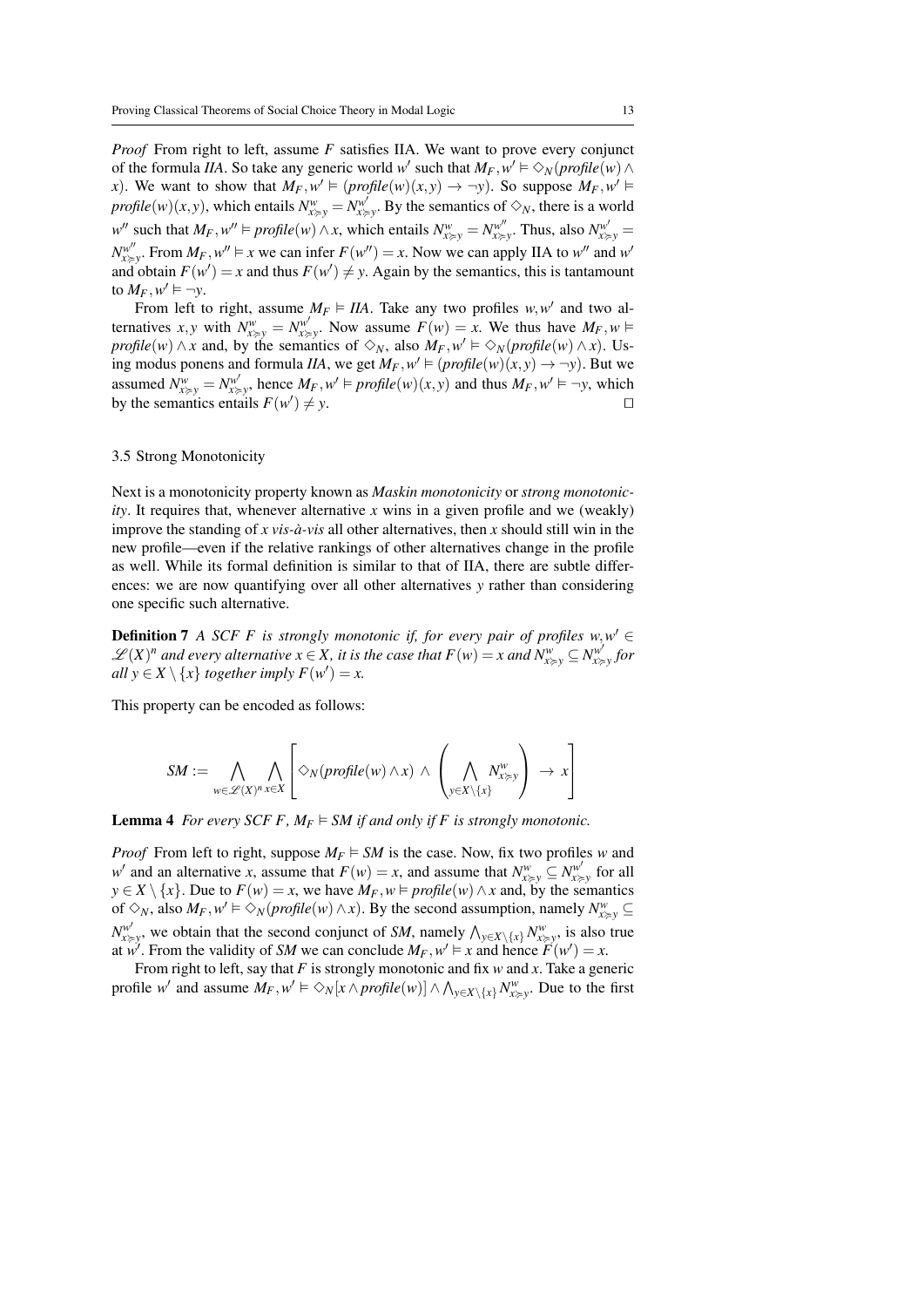*Proof* From right to left, assume *F* satisfies IIA. We want to prove every conjunct of the formula *IIA*. So take any generic world *w'* such that  $M_F$ ,  $w' \models \Diamond_N(profile(w) \land w')$ *x*). We want to show that  $M_F$ ,  $w' \vDash (profile(w)(x, y) \rightarrow \neg y)$ . So suppose  $M_F$ ,  $w' \vDash$ *profile*(*w*)(*x*, *y*), which entails  $N_{x \succ y}^w = N_{x \succ y}^w$ . By the semantics of  $\Diamond_N$ , there is a world  $w''$  such that  $M_F$ ,  $w'' \models profile(w) \land x$ , which entails  $N_{x \succ y}^w = N_{x \succ y}^{w''}$ . Thus, also  $N_{x \succ y}^{w'} =$  $N_{x \succ y}^{w''}$ . From  $M_F$ ,  $w'' \models x$  we can infer  $F(w'') = x$ . Now we can apply IIA to  $w''$  and  $w'$ and obtain  $F(w') = x$  and thus  $F(w') \neq y$ . Again by the semantics, this is tantamount to  $M_F$ ,  $w' \vDash \neg y$ .

From left to right, assume  $M_F \models IIA$ . Take any two profiles  $w, w'$  and two alternatives *x*, *y* with  $N_{x\geq y}^w = N_{x\geq y}^{w'}$ . Now assume  $F(w) = x$ . We thus have  $M_F, w \models$ *profile*(*w*) ∧ *x* and, by the semantics of  $\diamond_N$ , also  $M_F$ ,  $w' \vDash \diamond_N(profile(w) \land x)$ . Using modus ponens and formula *IIA*, we get  $M_F$ ,  $w' \models (profile(w)(x, y) \rightarrow \neg y)$ . But we assumed  $N_{x \succ y}^w = N_{x \succ y}^{w'}$ , hence  $M_F, w' \models profile(w)(x, y)$  and thus  $M_F, w' \models \neg y$ , which by the semantics entails  $F(w') \neq y$ .

#### 3.5 Strong Monotonicity

Next is a monotonicity property known as *Maskin monotonicity* or *strong monotonicity*. It requires that, whenever alternative *x* wins in a given profile and we (weakly) improve the standing of *x vis-à-vis* all other alternatives, then *x* should still win in the new profile—even if the relative rankings of other alternatives change in the profile as well. While its formal definition is similar to that of IIA, there are subtle differences: we are now quantifying over all other alternatives *y* rather than considering one specific such alternative.

**Definition 7** *A SCF F is strongly monotonic if, for every pair of profiles*  $w, w' \in$  $\mathscr{L}(X)^n$  and every alternative  $x \in X$ , it is the case that  $F(w) = x$  and  $N^w_{x \succ y} \subseteq N^{w'}_{x \succ y}$  for *all*  $y \in X \setminus \{x\}$  *together imply*  $F(w') = x$ .

This property can be encoded as follows:

$$
SM:=\bigwedge_{w\in\mathscr{L}(X)^n}\bigwedge_{x\in X}\left[\diamondsuit_N(profile(w)\wedge x)\wedge\left(\bigwedge_{y\in X\setminus\{x\}}\!N^w_{x\succcurlyeq y}\right)\rightarrow x\right]
$$

**Lemma 4** *For every SCF F,*  $M_F \models SM$  *if and only if F is strongly monotonic.* 

*Proof* From left to right, suppose  $M_F \models SM$  is the case. Now, fix two profiles *w* and *w*<sup>'</sup> and an alternative *x*, assume that  $F(w) = x$ , and assume that  $N_{x \ge y}^w \subseteq N_{x \ge y}^{w'}$  for all *y* ∈ *X* \ {*x*}. Due to *F*(*w*) = *x*, we have *M<sub>F</sub>*, *w* ⊨ *profile*(*w*) ∧ *x* and, by the semantics of  $\Diamond_N$ , also  $M_F$ ,  $w' \models \Diamond_N(profile(w) \land x)$ . By the second assumption, namely  $N^w_{x \succ y} \subseteq$ *N*<sup>w</sup><sup>*w*</sup><sub>*x*  $\succcurlyeq$ *y*</sub>. we obtain that the second conjunct of *SM*, namely  $\bigwedge_{y \in X \setminus \{x\}} N_{x \succ y}^w$ , is also true at *w'*. From the validity of *SM* we can conclude  $M_F$ ,  $w' \vDash x$  and hence  $F(w') = x$ .

From right to left, say that *F* is strongly monotonic and fix *w* and *x*. Take a generic profile *w*<sup>*'*</sup> and assume  $M_F$ ,  $w' \models \Diamond_N[x \land probile(w)] \land \bigwedge_{y \in X \setminus \{x\}} N_{x \succ y}^w$ . Due to the first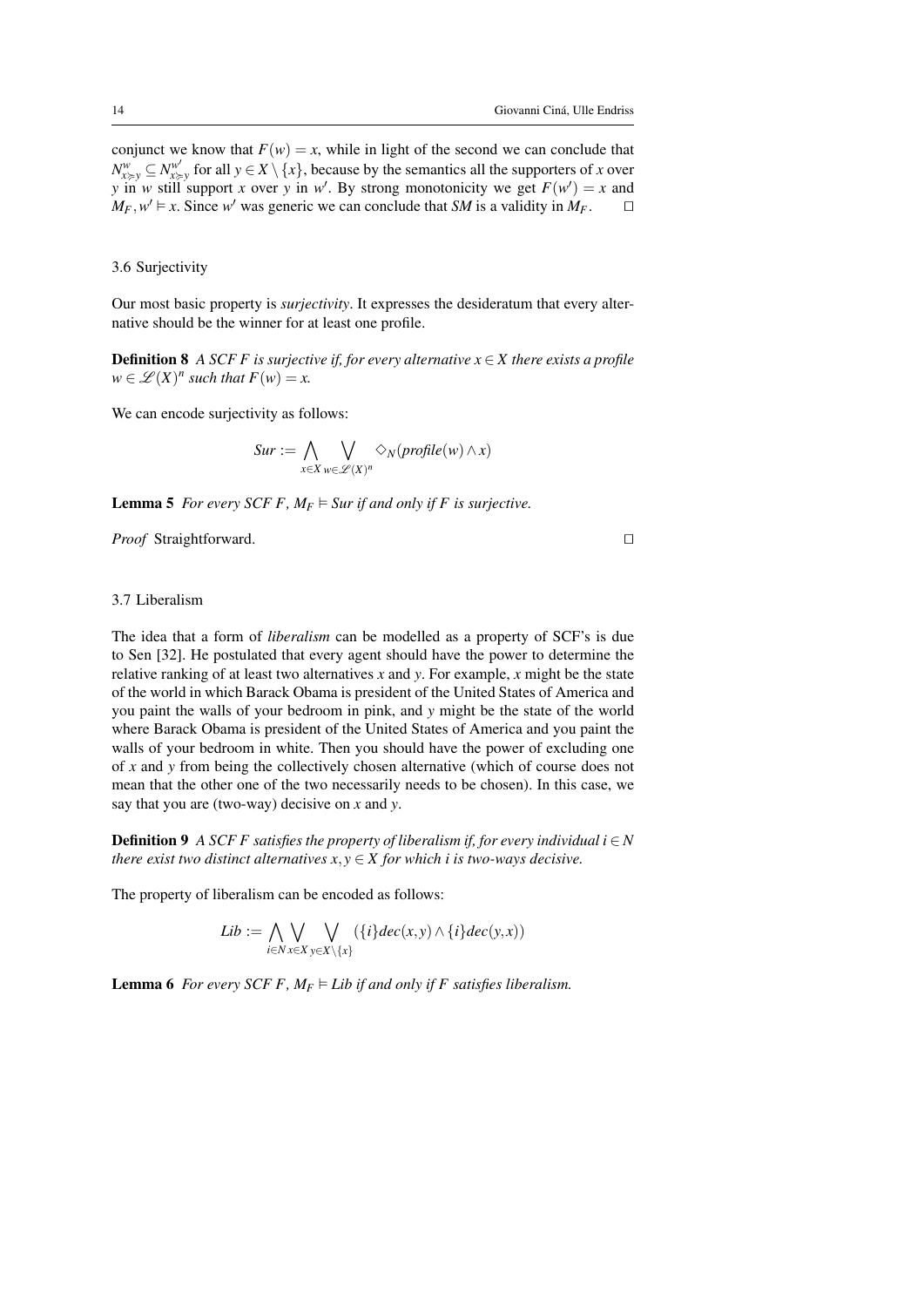conjunct we know that  $F(w) = x$ , while in light of the second we can conclude that  $N_{x \succ y}^w \subseteq N_{x \succ y}^{w'}$  for all  $y \in X \setminus \{x\}$ , because by the semantics all the supporters of *x* over *y* in *w* still support *x* over *y* in *w*<sup>'</sup>. By strong monotonicity we get  $F(w') = x$  and  $M_F$ ,  $w' \vDash x$ . Since  $w'$  was generic we can conclude that *SM* is a validity in  $M_F$ .  $\square$ 

# 3.6 Surjectivity

Our most basic property is *surjectivity*. It expresses the desideratum that every alternative should be the winner for at least one profile.

**Definition 8** *A SCF F is surjective if, for every alternative*  $x \in X$  *there exists a profile*  $w \in \mathscr{L}(X)^n$  such that  $F(w) = x$ .

We can encode surjectivity as follows:

$$
Sur := \bigwedge_{x \in X} \bigvee_{w \in \mathscr{L}(X)^n} \Diamond_N(profile(w) \land x)
$$

**Lemma 5** *For every SCF F,*  $M_F \models$  *Sur if and only if F is surjective.* 

*Proof* Straightforward. □

# 3.7 Liberalism

The idea that a form of *liberalism* can be modelled as a property of SCF's is due to Sen [32]. He postulated that every agent should have the power to determine the relative ranking of at least two alternatives  $x$  and  $y$ . For example,  $x$  might be the state of the world in which Barack Obama is president of the United States of America and you paint the walls of your bedroom in pink, and *y* might be the state of the world where Barack Obama is president of the United States of America and you paint the walls of your bedroom in white. Then you should have the power of excluding one of *x* and *y* from being the collectively chosen alternative (which of course does not mean that the other one of the two necessarily needs to be chosen). In this case, we say that you are (two-way) decisive on *x* and *y*.

**Definition 9** *A SCF F satisfies the property of liberalism if, for every individual*  $i \in N$ *there exist two distinct alternatives*  $x, y \in X$  *for which i is two-ways decisive.* 

The property of liberalism can be encoded as follows:

$$
Lib := \bigwedge_{i \in N} \bigvee_{x \in X} \bigvee_{y \in X \setminus \{x\}} (\{i\}dec(x, y) \land \{i\}dec(y, x))
$$

**Lemma 6** *For every SCF F,*  $M_F \models$  *Lib if and only if F satisfies liberalism.*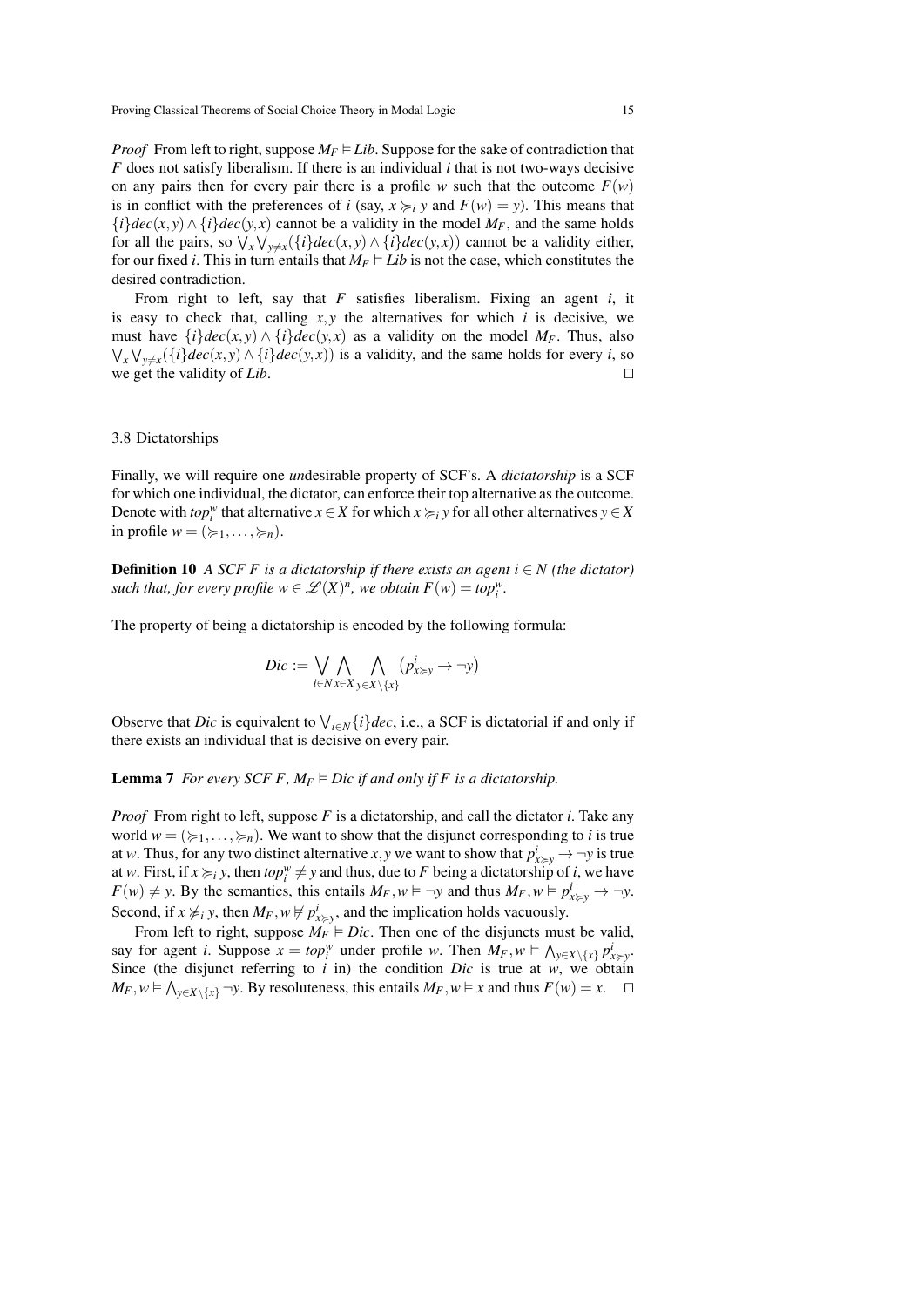*Proof* From left to right, suppose  $M_F \models Lib$ . Suppose for the sake of contradiction that  $F$  does not satisfy liberalism. If there is an individual  $i$  that is not two-ways decisive on any pairs then for every pair there is a profile *w* such that the outcome  $F(w)$ is in conflict with the preferences of *i* (say,  $x \geq i$  *y* and  $F(w) = y$ ). This means that  ${i}$ *dec*(*x*, *y*)  $\land$   $\{i\}$ *dec*(*y*, *x*) cannot be a validity in the model *M<sub>F</sub>*, and the same holds for all the pairs, so  $\bigvee_x \bigvee_{y \neq x} (\{i\}dec(x, y) \wedge \{i\}dec(y, x))$  cannot be a validity either, for our fixed *i*. This in turn entails that  $M_F \models Lib$  is not the case, which constitutes the desired contradiction.

From right to left, say that *F* satisfies liberalism. Fixing an agent *i*, it is easy to check that, calling  $x, y$  the alternatives for which  $i$  is decisive, we must have  $\{i\}$ dec(*x*, *y*)  $\land$   $\{i\}$ dec(*y*, *x*) as a validity on the model  $M_F$ . Thus, also  $\bigvee_x \bigvee_{y \neq x} (\{i\}dec(x, y) \wedge \{i\}dec(y, x))$  is a validity, and the same holds for every *i*, so we get the validity of *Lib*.  $\square$ 

#### 3.8 Dictatorships

Finally, we will require one *un*desirable property of SCF's. A *dictatorship* is a SCF for which one individual, the dictator, can enforce their top alternative as the outcome. Denote with  $top_i^w$  that alternative  $x \in X$  for which  $x \succcurlyeq_i y$  for all other alternatives  $y \in X$ in profile  $w = (\succcurlyeq_1, \ldots, \succcurlyeq_n)$ .

**Definition 10** *A SCF F is a dictatorship if there exists an agent i*  $\in$  *N* (*the dictator*) *such that, for every profile*  $w \in \mathscr{L}(X)^n$ *, we obtain*  $F(w) = top_i^w$ *.* 

The property of being a dictatorship is encoded by the following formula:

$$
Dic := \bigvee_{i \in N} \bigwedge_{x \in X} \bigwedge_{y \in X \setminus \{x\}} (p_{x \succcurlyeq y}^i \to \neg y)
$$

Observe that *Dic* is equivalent to  $\bigvee_{i \in \mathbb{N}} \{i\}$  *dec*, i.e., a SCF is dictatorial if and only if there exists an individual that is decisive on every pair.

### **Lemma 7** *For every SCF F,*  $M_F \models$  *Dic if and only if F is a dictatorship.*

*Proof* From right to left, suppose *F* is a dictatorship, and call the dictator *i*. Take any world  $w = (\succeq_1, \ldots, \succeq_n)$ . We want to show that the disjunct corresponding to *i* is true at *w*. Thus, for any two distinct alternative *x*, *y* we want to show that  $p_{x\succ y}^i \to \neg y$  is true at *w*. First, if  $x \succcurlyeq_i y$ , then  $top_i^w \neq y$  and thus, due to *F* being a dictatorship of *i*, we have  $F(w) \neq y$ . By the semantics, this entails  $M_F, w \models \neg y$  and thus  $M_F, w \models p_{x \geq y}^i \rightarrow \neg y$ . Second, if  $x \neq_i y$ , then  $M_F$ ,  $w \not\models p_{x \geq y}^i$ , and the implication holds vacuously.

From left to right, suppose  $M_F \models Dic$ . Then one of the disjuncts must be valid, say for agent *i*. Suppose  $x = top_i^w$  under profile *w*. Then  $M_F$ ,  $w \models \bigwedge_{y \in X \setminus \{x\}} p_{x \succ y}^i$ . Since (the disjunct referring to  $i$  in) the condition *Dic* is true at  $w$ , we obtain *M*<sup>*F*</sup>,  $w$  ⊨  $\bigwedge_{y \in X \setminus \{x\}} \neg y$ . By resoluteness, this entails *M<sub>F</sub>*,  $w$  ⊨ *x* and thus  $F(w) = x$ . □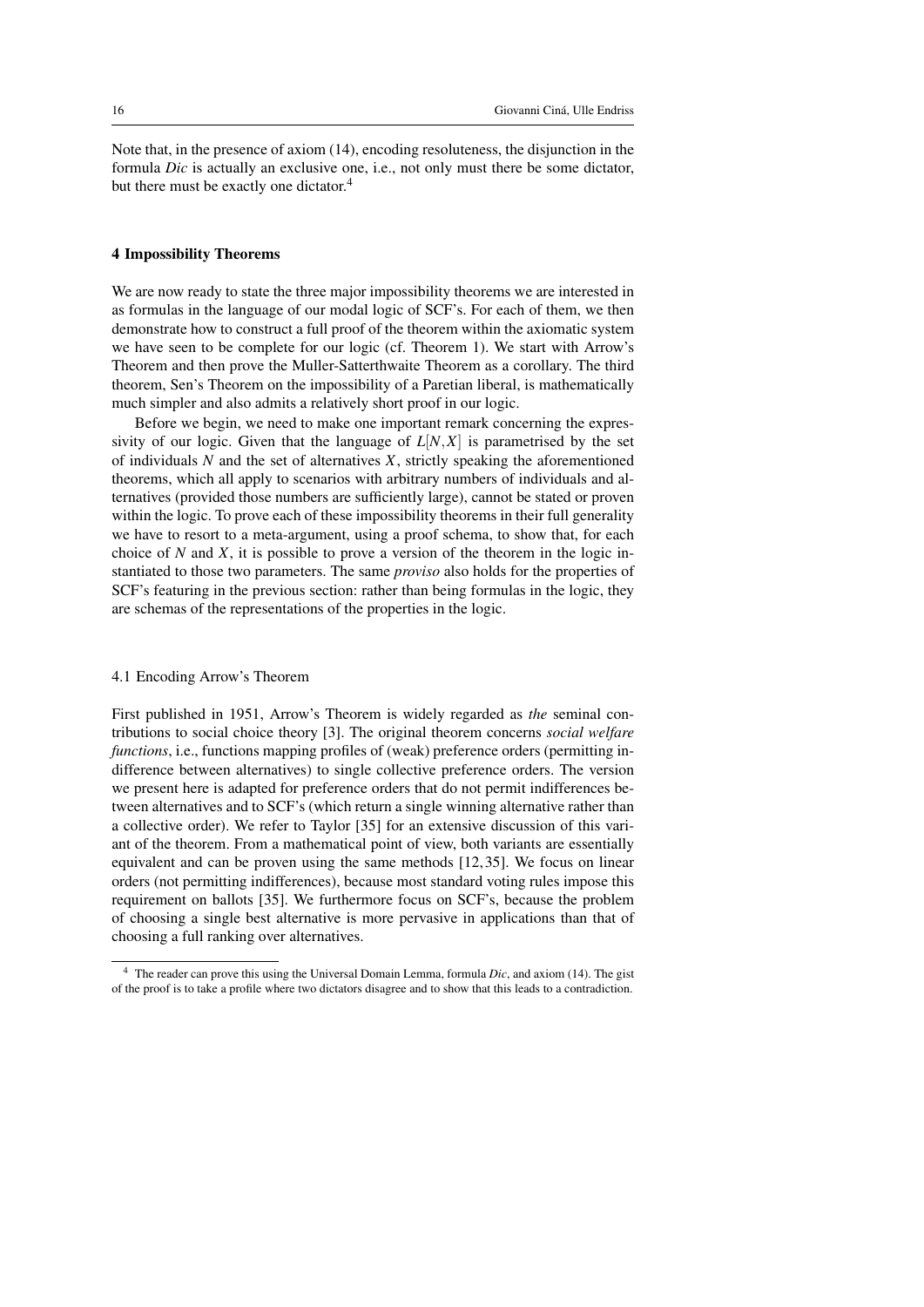Note that, in the presence of axiom (14), encoding resoluteness, the disjunction in the formula *Dic* is actually an exclusive one, i.e., not only must there be some dictator, but there must be exactly one dictator.<sup>4</sup>

# 4 Impossibility Theorems

We are now ready to state the three major impossibility theorems we are interested in as formulas in the language of our modal logic of SCF's. For each of them, we then demonstrate how to construct a full proof of the theorem within the axiomatic system we have seen to be complete for our logic (cf. Theorem 1). We start with Arrow's Theorem and then prove the Muller-Satterthwaite Theorem as a corollary. The third theorem, Sen's Theorem on the impossibility of a Paretian liberal, is mathematically much simpler and also admits a relatively short proof in our logic.

Before we begin, we need to make one important remark concerning the expressivity of our logic. Given that the language of  $L[N,X]$  is parametrised by the set of individuals *N* and the set of alternatives *X*, strictly speaking the aforementioned theorems, which all apply to scenarios with arbitrary numbers of individuals and alternatives (provided those numbers are sufficiently large), cannot be stated or proven within the logic. To prove each of these impossibility theorems in their full generality we have to resort to a meta-argument, using a proof schema, to show that, for each choice of  $N$  and  $X$ , it is possible to prove a version of the theorem in the logic instantiated to those two parameters. The same *proviso* also holds for the properties of SCF's featuring in the previous section: rather than being formulas in the logic, they are schemas of the representations of the properties in the logic.

#### 4.1 Encoding Arrow's Theorem

First published in 1951, Arrow's Theorem is widely regarded as *the* seminal contributions to social choice theory [3]. The original theorem concerns *social welfare functions*, i.e., functions mapping profiles of (weak) preference orders (permitting indifference between alternatives) to single collective preference orders. The version we present here is adapted for preference orders that do not permit indifferences between alternatives and to SCF's (which return a single winning alternative rather than a collective order). We refer to Taylor [35] for an extensive discussion of this variant of the theorem. From a mathematical point of view, both variants are essentially equivalent and can be proven using the same methods [12, 35]. We focus on linear orders (not permitting indifferences), because most standard voting rules impose this requirement on ballots [35]. We furthermore focus on SCF's, because the problem of choosing a single best alternative is more pervasive in applications than that of choosing a full ranking over alternatives.

<sup>4</sup> The reader can prove this using the Universal Domain Lemma, formula *Dic*, and axiom (14). The gist of the proof is to take a profile where two dictators disagree and to show that this leads to a contradiction.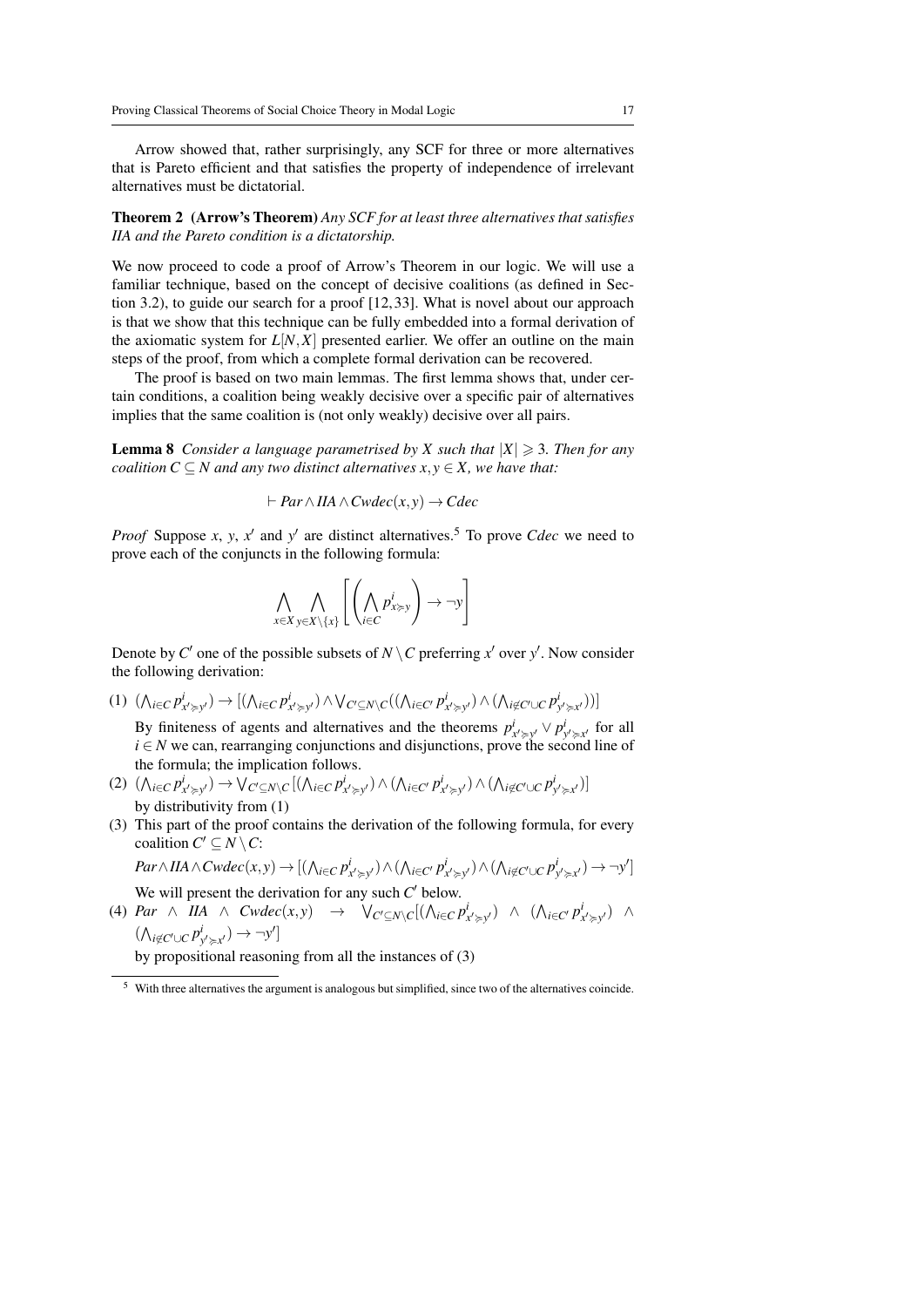Arrow showed that, rather surprisingly, any SCF for three or more alternatives that is Pareto efficient and that satisfies the property of independence of irrelevant alternatives must be dictatorial.

Theorem 2 (Arrow's Theorem) *Any SCF for at least three alternatives that satisfies IIA and the Pareto condition is a dictatorship.*

We now proceed to code a proof of Arrow's Theorem in our logic. We will use a familiar technique, based on the concept of decisive coalitions (as defined in Section 3.2), to guide our search for a proof [12, 33]. What is novel about our approach is that we show that this technique can be fully embedded into a formal derivation of the axiomatic system for  $L[N,X]$  presented earlier. We offer an outline on the main steps of the proof, from which a complete formal derivation can be recovered.

The proof is based on two main lemmas. The first lemma shows that, under certain conditions, a coalition being weakly decisive over a specific pair of alternatives implies that the same coalition is (not only weakly) decisive over all pairs.

**Lemma 8** *Consider a language parametrised by X such that*  $|X| \ge 3$ *. Then for any coalition*  $C \subseteq N$  *and any two distinct alternatives*  $x, y \in X$ *, we have that:* 

$$
\vdash Par \wedge IIA \wedge Cwdec(x, y) \rightarrow Cdec
$$

*Proof* Suppose *x*, *y*,  $x'$  and  $y'$  are distinct alternatives.<sup>5</sup> To prove *Cdec* we need to prove each of the conjuncts in the following formula:

$$
\bigwedge_{x \in X} \bigwedge_{y \in X \setminus \{x\}} \left[ \left( \bigwedge_{i \in C} p_{x \succcurlyeq y}^i \right) \to \neg y \right]
$$

Denote by *C*<sup> $\prime$ </sup> one of the possible subsets of *N* \ *C* preferring *x*<sup> $\prime$ </sup> over *y*<sup> $\prime$ </sup>. Now consider the following derivation:

(1)  $(\bigwedge_{i\in C}p_{x'\succcurlyeq y'}^{i})\to[(\bigwedge_{i\in C}p_{x'\succcurlyeq y'}^{i})\wedge\bigvee_{C'\subseteq N\setminus C}((\bigwedge_{i\in C'}p_{x'\succcurlyeq y'}^{i})\wedge(\bigwedge_{i\not\in C'\cup C}p_{y'\succcurlyeq x'}^{i}))]$ 

By finiteness of agents and alternatives and the theorems  $p^i_{x'\succcurlyeq y'} \vee p^i_{y'\succcurlyeq x'}$  for all *i* ∈ *N* we can, rearranging conjunctions and disjunctions, prove the second line of the formula; the implication follows.

- (2)  $(\bigwedge_{i\in C}p_{x'\succcurlyeq y'}^{i})\to\bigvee_{C'\subseteq N\setminus C}[(\bigwedge_{i\in C}p_{x'\succcurlyeq y'}^{i})\wedge(\bigwedge_{i\in C'}p_{x'\succcurlyeq y'}^{i})\wedge(\bigwedge_{i\not\in C'\cup C}p_{y'\succcurlyeq x'}^{i})]$ by distributivity from (1)
- (3) This part of the proof contains the derivation of the following formula, for every coalition  $C' \subseteq N \setminus C$ :

 $Par\wedge IIA \wedge Cwdec(x,y) \rightarrow [(\bigwedge_{i\in C}p_{x'\succcurlyeq y'}^{i})\wedge (\bigwedge_{i\in C'}p_{x'\succcurlyeq y'}^{i})\wedge (\bigwedge_{i\not\in C'\cup C}p_{y'\succcurlyeq x'}^{i})\rightarrow \neg y']$ We will present the derivation for any such  $C'$  below.

(4) *Par*  $\land$  *IIA*  $\land$  *Cwdec*(*x,y*)  $\rightarrow$   $\lor$   $C' \subseteq N \setminus C$ [( $\land$ <sub>*i*∈*C*</sub>  $p^i_{x' \succcurlyeq y'}$ )  $\land$  ( $\land$ <sub>*i*∈*C'*  $p^i_{x' \succcurlyeq y'}$ )  $\land$ </sub>  $(\bigwedge_{i \notin C' \cup C} p_{y' \succ x'}^i) \rightarrow \neg y'$ 

by propositional reasoning from all the instances of (3)

<sup>5</sup> With three alternatives the argument is analogous but simplified, since two of the alternatives coincide.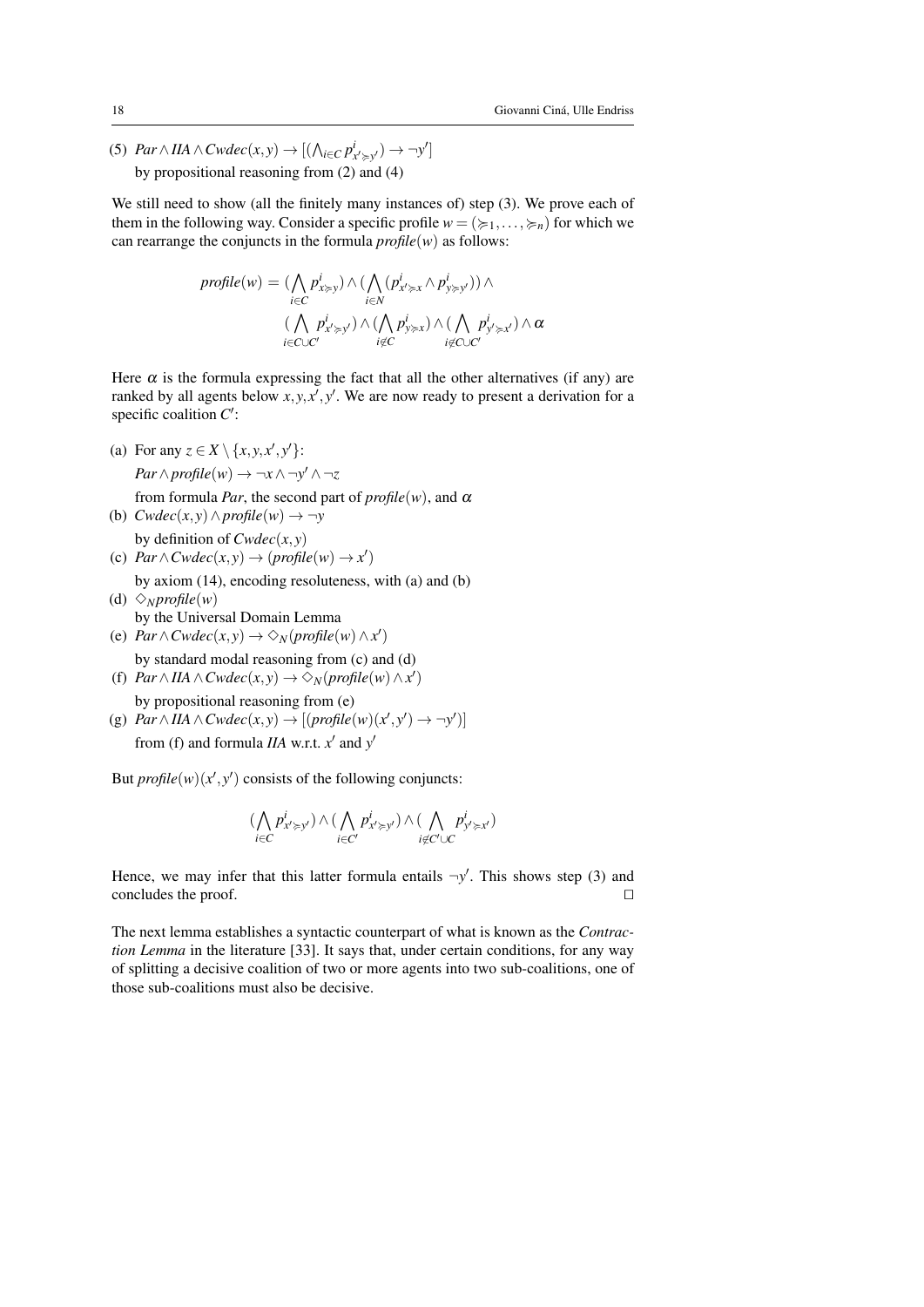(5)  $Par \wedge IIA \wedge Cwdec(x, y) \rightarrow [(\bigwedge_{i \in C} p_{x' \succcurlyeq y'}^{i}) \rightarrow \neg y']$ 

by propositional reasoning from (2) and (4)

We still need to show (all the finitely many instances of) step (3). We prove each of them in the following way. Consider a specific profile  $w = (\succcurlyeq_1, \ldots, \succcurlyeq_n)$  for which we can rearrange the conjuncts in the formula  $profile(w)$  as follows:

$$
profile(w) = (\bigwedge_{i \in C} p_{x \succcurlyeq y}^{i}) \land (\bigwedge_{i \in N} (p_{x' \succcurlyeq x}^{i} \land p_{y \succcurlyeq y'}^{i})) \land
$$

$$
(\bigwedge_{i \in C} p_{x' \succcurlyeq y'}^{i}) \land (\bigwedge_{i \notin C} p_{y \succcurlyeq x}^{i}) \land (\bigwedge_{i \notin C} p_{y' \succcurlyeq x'}^{i}) \land \alpha
$$

Here  $\alpha$  is the formula expressing the fact that all the other alternatives (if any) are ranked by all agents below  $x, y, x', y'$ . We are now ready to present a derivation for a specific coalition C':

(a) For any  $z \in X \setminus \{x, y, x', y'\}$ :  $Par \wedge profile(w) \rightarrow \neg x \wedge \neg y' \wedge \neg z$ 

from formula *Par*, the second part of *profile*(*w*), and  $\alpha$ (b)  $Cwdec(x, y) \wedge profile(w) \rightarrow \neg y$ 

- by definition of  $Cwdec(x, y)$
- (c)  $Par \land Cwdec(x, y) \rightarrow (profile(w) \rightarrow x')$
- by axiom (14), encoding resoluteness, with (a) and (b) (d)  $\Diamond_N$ *profile*(*w*)
	- by the Universal Domain Lemma
- (e)  $Par \wedge Cwdec(x, y) \rightarrow \Diamond_N(profile(w) \wedge x')$ by standard modal reasoning from (c) and (d)
- (f)  $Par \wedge IIA \wedge Cwdec(x, y) \rightarrow \Diamond_N(profile(w) \wedge x')$ by propositional reasoning from (e)
- (g)  $Par \land IIA \land Cwdec(x, y) \rightarrow [(profile(w)(x', y') \rightarrow \neg y')]$ from (f) and formula  $IIA$  w.r.t.  $x'$  and  $y'$

But  $\text{profile}(w)(x', y')$  consists of the following conjuncts:

$$
(\bigwedge_{i \in C} p_{x' \succcurlyeq y'}^{i}) \wedge (\bigwedge_{i \in C'} p_{x' \succcurlyeq y'}^{i}) \wedge (\bigwedge_{i \notin C' \cup C} p_{y' \succcurlyeq x'}^{i})
$$

Hence, we may infer that this latter formula entails  $\neg y'$ . This shows step (3) and concludes the proof.  $\Box$ 

The next lemma establishes a syntactic counterpart of what is known as the *Contraction Lemma* in the literature [33]. It says that, under certain conditions, for any way of splitting a decisive coalition of two or more agents into two sub-coalitions, one of those sub-coalitions must also be decisive.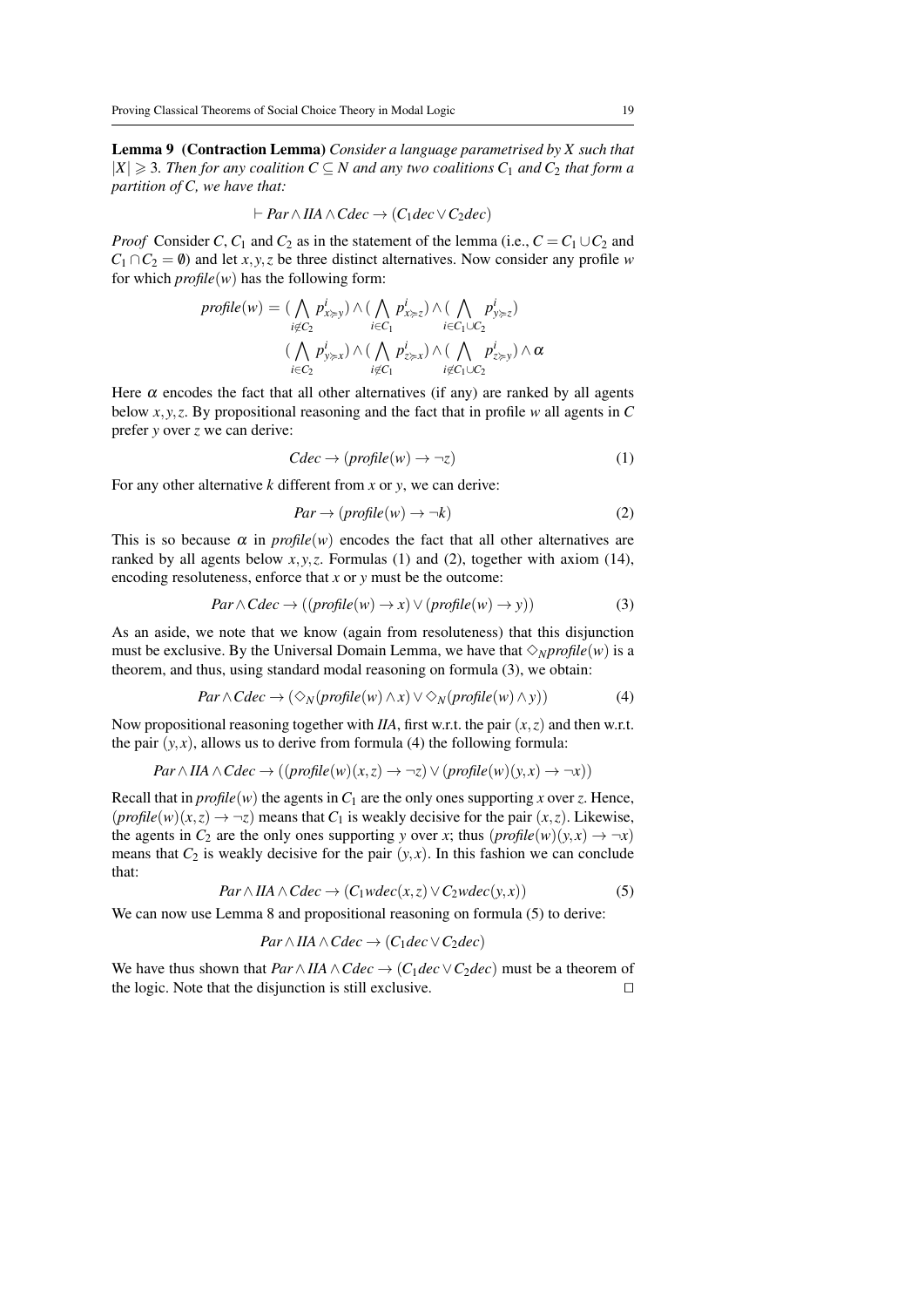Lemma 9 (Contraction Lemma) *Consider a language parametrised by X such that*  $|X|$  ≥ 3*. Then for any coalition C* ⊆ *N and any two coalitions C*<sub>1</sub> *and C*<sub>2</sub> *that form a partition of C, we have that:*

$$
\vdash Par \wedge IIA \wedge Cdec \rightarrow (C_1dec \vee C_2dec)
$$

*Proof* Consider *C*,  $C_1$  and  $C_2$  as in the statement of the lemma (i.e.,  $C = C_1 \cup C_2$  and  $C_1 \cap C_2 = \emptyset$  and let *x*, *y*, *z* be three distinct alternatives. Now consider any profile *w* for which *profile*(*w*) has the following form:

$$
profile(w) = (\bigwedge_{i \notin C_2} p_{x \succcurlyeq y}^i) \land (\bigwedge_{i \in C_1} p_{x \succcurlyeq z}^i) \land (\bigwedge_{i \in C_1 \cup C_2} p_{y \succcurlyeq z}^i)
$$

$$
(\bigwedge_{i \in C_2} p_{y \succcurlyeq x}^i) \land (\bigwedge_{i \notin C_1} p_{z \succcurlyeq x}^i) \land (\bigwedge_{i \notin C_1 \cup C_2} p_{z \succcurlyeq y}^i) \land \alpha
$$

Here  $\alpha$  encodes the fact that all other alternatives (if any) are ranked by all agents below *x*, *y*,*z*. By propositional reasoning and the fact that in profile *w* all agents in *C* prefer *y* over *z* we can derive:

$$
Cdec \to (profile(w) \to \neg z)
$$
 (1)

For any other alternative *k* different from *x* or *y*, we can derive:

$$
Par \to (profile(w) \to \neg k) \tag{2}
$$

This is so because  $\alpha$  in *profile*(*w*) encodes the fact that all other alternatives are ranked by all agents below  $x, y, z$ . Formulas (1) and (2), together with axiom (14), encoding resoluteness, enforce that *x* or *y* must be the outcome:

$$
Par \land Cdec \rightarrow ((profile(w) \rightarrow x) \lor (profile(w) \rightarrow y))
$$
\n(3)

As an aside, we note that we know (again from resoluteness) that this disjunction must be exclusive. By the Universal Domain Lemma, we have that  $\Diamond_N$ *profile* $(w)$  is a theorem, and thus, using standard modal reasoning on formula (3), we obtain:

$$
Par \wedge Cdec \rightarrow (\Diamond_N(profile(w) \wedge x) \vee \Diamond_N(profile(w) \wedge y))
$$
 (4)

Now propositional reasoning together with *IIA*, first w.r.t. the pair (*x*,*z*) and then w.r.t. the pair  $(y, x)$ , allows us to derive from formula (4) the following formula:

$$
Par \wedge IIA \wedge Cdec \rightarrow ((profile(w)(x, z) \rightarrow \neg z) \vee (profile(w)(y, x) \rightarrow \neg x))
$$

Recall that in  $profile(w)$  the agents in  $C_1$  are the only ones supporting *x* over *z*. Hence,  $(p \text{rofile}(w)(x, z) \rightarrow \neg z)$  means that  $C_1$  is weakly decisive for the pair  $(x, z)$ . Likewise, the agents in  $C_2$  are the only ones supporting *y* over *x*; thus  $\left( \text{profile}(w)(y, x) \rightarrow \neg x \right)$ means that  $C_2$  is weakly decisive for the pair  $(y, x)$ . In this fashion we can conclude that:

$$
Par \wedge IIA \wedge Cdec \rightarrow (C_1wdec(x, z) \vee C_2wdec(y, x))
$$
\n
$$
(5)
$$

We can now use Lemma 8 and propositional reasoning on formula (5) to derive:

$$
Par \wedge IIA \wedge Cdec \rightarrow (C_1 dec \vee C_2 dec)
$$

We have thus shown that  $Par \wedge IIA \wedge Cdec \rightarrow (C_1 dec \vee C_2 dec)$  must be a theorem of the logic. Note that the disjunction is still exclusive.  $\Box$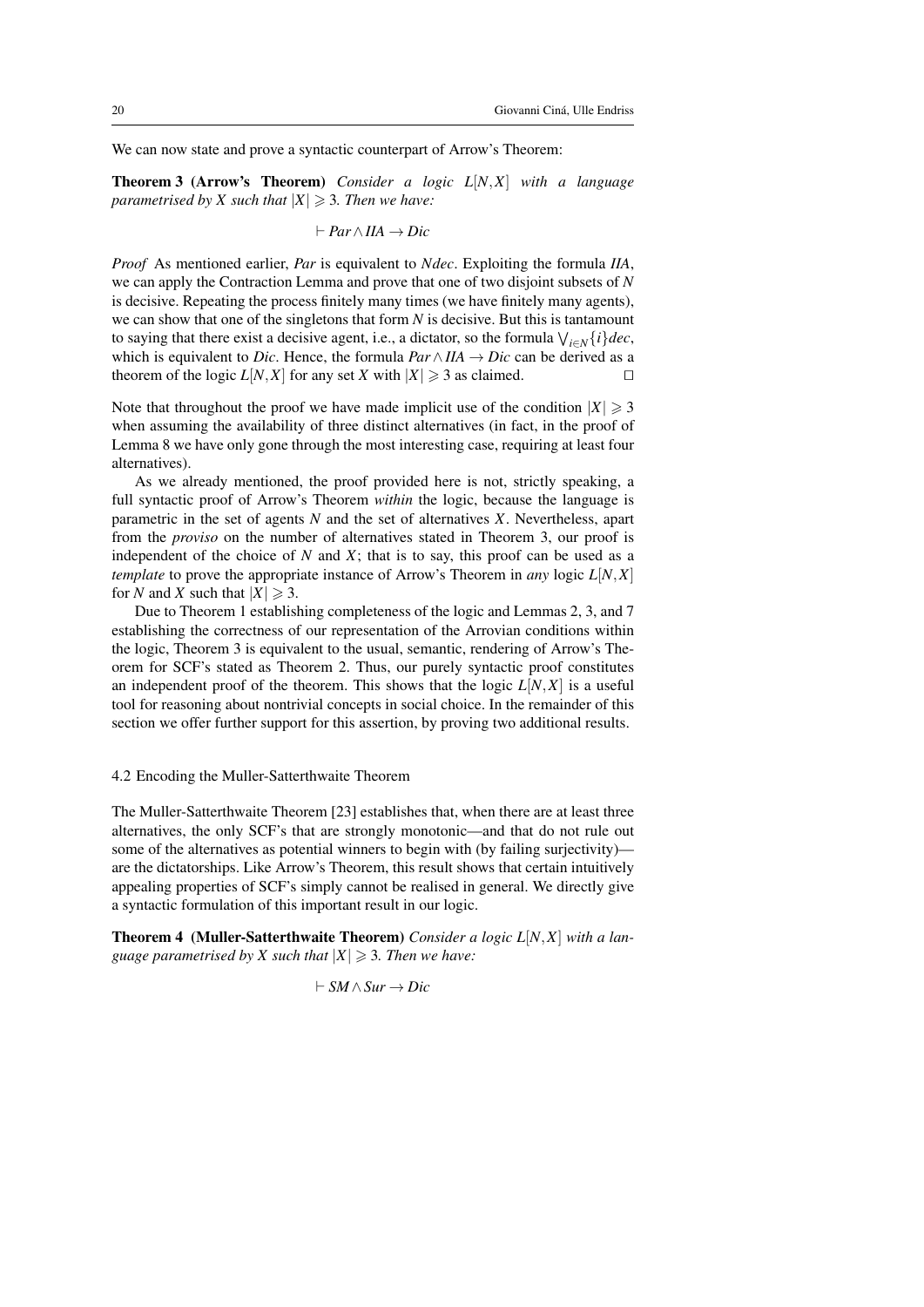We can now state and prove a syntactic counterpart of Arrow's Theorem:

Theorem 3 (Arrow's Theorem) *Consider a logic L*[*N*,*X*] *with a language parametrised by X such that*  $|X| \geq 3$ *. Then we have:* 

$$
\vdash Par \wedge IIA \to Dic
$$

*Proof* As mentioned earlier, *Par* is equivalent to *Ndec*. Exploiting the formula *IIA*, we can apply the Contraction Lemma and prove that one of two disjoint subsets of *N* is decisive. Repeating the process finitely many times (we have finitely many agents), we can show that one of the singletons that form *N* is decisive. But this is tantamount to saying that there exist a decisive agent, i.e., a dictator, so the formula  $\bigvee_{i \in N} \{i\}$  *dec*, which is equivalent to *Dic*. Hence, the formula  $Par \wedge IIA \rightarrow Dic$  can be derived as a theorem of the logic  $L[N,X]$  for any set *X* with  $|X| \ge 3$  as claimed.

Note that throughout the proof we have made implicit use of the condition  $|X| \geq 3$ when assuming the availability of three distinct alternatives (in fact, in the proof of Lemma 8 we have only gone through the most interesting case, requiring at least four alternatives).

As we already mentioned, the proof provided here is not, strictly speaking, a full syntactic proof of Arrow's Theorem *within* the logic, because the language is parametric in the set of agents *N* and the set of alternatives *X*. Nevertheless, apart from the *proviso* on the number of alternatives stated in Theorem 3, our proof is independent of the choice of  $N$  and  $X$ ; that is to say, this proof can be used as a *template* to prove the appropriate instance of Arrow's Theorem in *any* logic *L*[*N*,*X*] for *N* and *X* such that  $|X| \ge 3$ .

Due to Theorem 1 establishing completeness of the logic and Lemmas 2, 3, and 7 establishing the correctness of our representation of the Arrovian conditions within the logic, Theorem 3 is equivalent to the usual, semantic, rendering of Arrow's Theorem for SCF's stated as Theorem 2. Thus, our purely syntactic proof constitutes an independent proof of the theorem. This shows that the logic  $L[N,X]$  is a useful tool for reasoning about nontrivial concepts in social choice. In the remainder of this section we offer further support for this assertion, by proving two additional results.

### 4.2 Encoding the Muller-Satterthwaite Theorem

The Muller-Satterthwaite Theorem [23] establishes that, when there are at least three alternatives, the only SCF's that are strongly monotonic—and that do not rule out some of the alternatives as potential winners to begin with (by failing surjectivity) are the dictatorships. Like Arrow's Theorem, this result shows that certain intuitively appealing properties of SCF's simply cannot be realised in general. We directly give a syntactic formulation of this important result in our logic.

Theorem 4 (Muller-Satterthwaite Theorem) *Consider a logic L*[*N*,*X*] *with a language parametrised by X such that*  $|X| \ge 3$ *. Then we have:* 

$$
\vdash \mathit{SM} \land \mathit{Sur} \rightarrow \mathit{Dic}
$$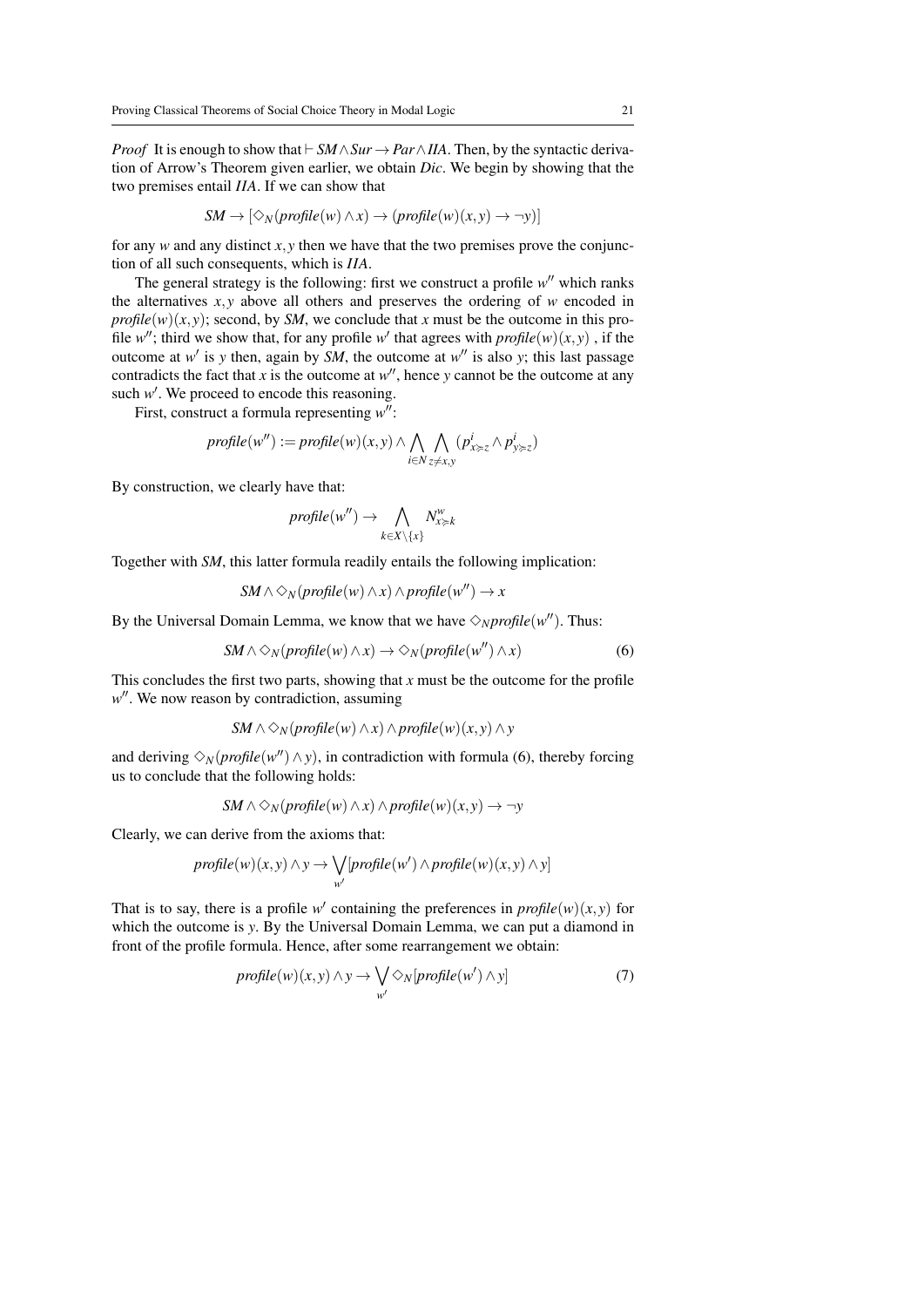*Proof* It is enough to show that  $\vdash$  *SM*  $\land$  *Sur*  $\rightarrow$  *Par*  $\land$  *IIA*. Then, by the syntactic derivation of Arrow's Theorem given earlier, we obtain *Dic*. We begin by showing that the two premises entail *IIA*. If we can show that

$$
SM \to [\Diamond_N(profile(w) \land x) \to (profile(w)(x, y) \to \neg y)]
$$

for any  $w$  and any distinct  $x, y$  then we have that the two premises prove the conjunction of all such consequents, which is *IIA*.

The general strategy is the following: first we construct a profile w<sup>"</sup> which ranks the alternatives  $x, y$  above all others and preserves the ordering of  $w$  encoded in  $profile(w)(x, y)$ ; second, by *SM*, we conclude that *x* must be the outcome in this profile w''; third we show that, for any profile w' that agrees with  $\text{profile}(w)(x, y)$ , if the outcome at  $w'$  is *y* then, again by *SM*, the outcome at  $w''$  is also *y*; this last passage contradicts the fact that  $x$  is the outcome at  $w''$ , hence  $y$  cannot be the outcome at any such  $w'$ . We proceed to encode this reasoning.

First, construct a formula representing w":

$$
profile(w'') := profile(w)(x, y) \wedge \bigwedge_{i \in N} \bigwedge_{z \neq x, y} (p_{x \geq z}^i \wedge p_{y \geq z}^i)
$$

By construction, we clearly have that:

$$
\textit{profile}(w'') \rightarrow \bigwedge_{k \in X \setminus \{x\}} N_{x \succcurlyeq k}^w
$$

Together with *SM*, this latter formula readily entails the following implication:

$$
SM \wedge \diamond_N(profile(w) \wedge x) \wedge profile(w'') \rightarrow x
$$

By the Universal Domain Lemma, we know that we have  $\Diamond_N profile(w'')$ . Thus:

$$
SM \wedge \diamond_N(profile(w) \wedge x) \rightarrow \diamond_N(profile(w'') \wedge x)
$$
 (6)

This concludes the first two parts, showing that *x* must be the outcome for the profile w<sup>"</sup>. We now reason by contradiction, assuming

$$
SM \wedge \diamond_N (profile(w) \wedge x) \wedge profile(w)(x, y) \wedge y
$$

and deriving  $\Diamond_N(p \text{ of} \mathit{lle}(w'') \land y)$ , in contradiction with formula (6), thereby forcing us to conclude that the following holds:

$$
SM \wedge \diamond_N(profile(w) \wedge x) \wedge profile(w)(x, y) \rightarrow \neg y
$$

Clearly, we can derive from the axioms that:

$$
profile(w)(x, y) \wedge y \rightarrow \bigvee_{w'} [profile(w') \wedge profile(w)(x, y) \wedge y]
$$

That is to say, there is a profile  $w'$  containing the preferences in  $\text{profile}(w)(x, y)$  for which the outcome is *y*. By the Universal Domain Lemma, we can put a diamond in front of the profile formula. Hence, after some rearrangement we obtain:

$$
profile(w)(x, y) \wedge y \rightarrow \bigvee_{w'} \Diamond_N[profile(w') \wedge y] \tag{7}
$$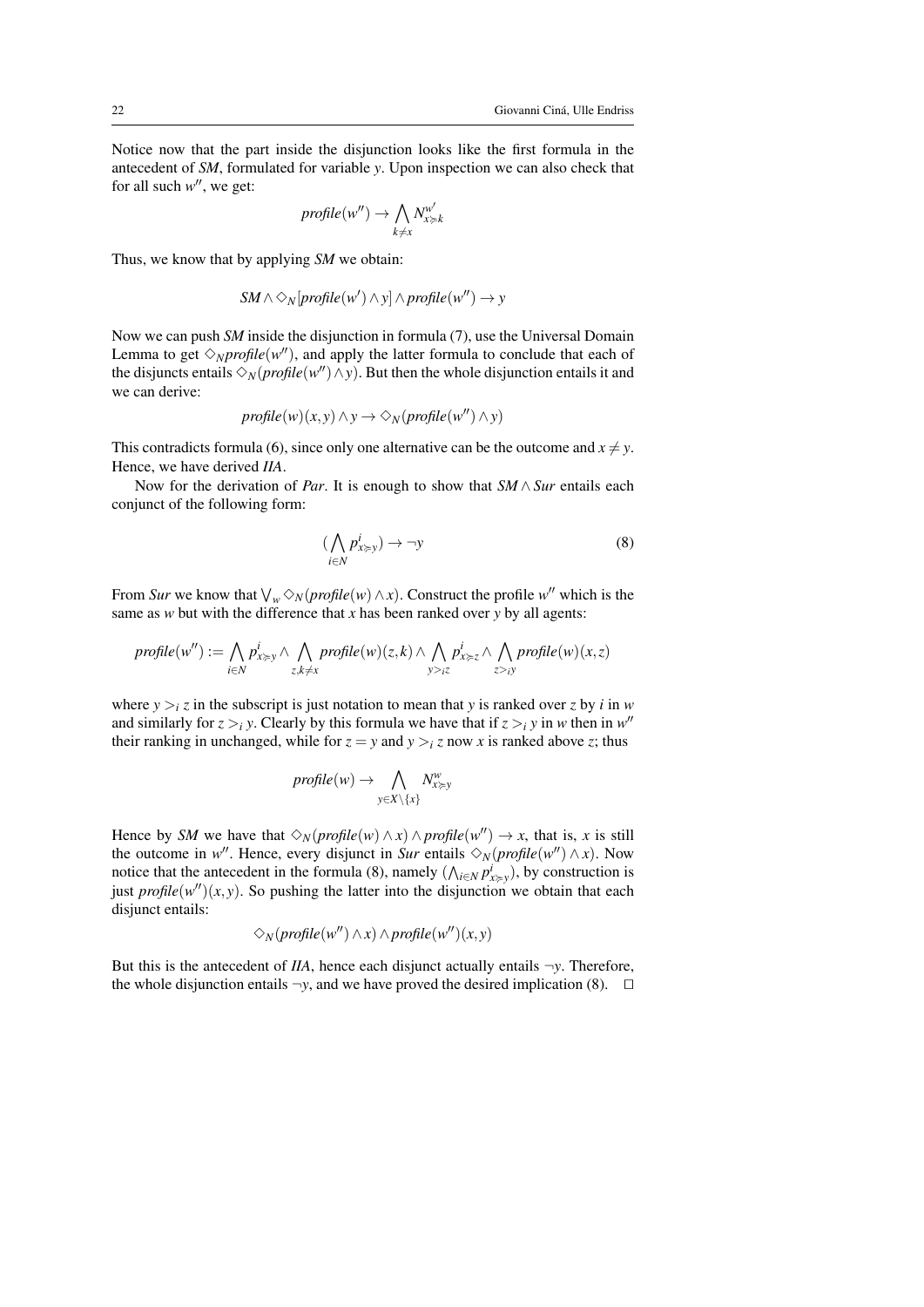Notice now that the part inside the disjunction looks like the first formula in the antecedent of *SM*, formulated for variable *y*. Upon inspection we can also check that for all such  $w''$ , we get:

$$
\mathit{profile}(w'') \rightarrow \bigwedge_{k \neq x} N_{x \succcurlyeq k}^{w'}
$$

Thus, we know that by applying *SM* we obtain:

$$
SM \wedge \Diamond_N[profile(w') \wedge y] \wedge profile(w'') \rightarrow y
$$

Now we can push *SM* inside the disjunction in formula (7), use the Universal Domain Lemma to get  $\Diamond_N$ *profile*(*w*<sup>*n*</sup>), and apply the latter formula to conclude that each of the disjuncts entails  $\Diamond_N(profile(w'') \land y)$ . But then the whole disjunction entails it and we can derive:

$$
profile(w)(x, y) \wedge y \rightarrow \Diamond_N (profile(w'') \wedge y)
$$

This contradicts formula (6), since only one alternative can be the outcome and  $x \neq y$ . Hence, we have derived *IIA*.

Now for the derivation of *Par*. It is enough to show that *SM* ∧ *Sur* entails each conjunct of the following form:

$$
(\bigwedge_{i\in N} p_{x\succcurlyeq y}^i) \to \neg y \tag{8}
$$

From Sur we know that  $\bigvee_w \Diamond_N(p \text{ of } \text{ile}(w) \land x)$ . Construct the profile w'' which is the same as *w* but with the difference that *x* has been ranked over *y* by all agents:

$$
profile(w'') := \bigwedge_{i \in N} p_{x \succcurlyeq y}^i \land \bigwedge_{z, k \neq x} profile(w)(z, k) \land \bigwedge_{y >_i z} p_{x \succcurlyeq z}^i \land \bigwedge_{z >_i y} profile(w)(x, z)
$$

where  $y >_i z$  in the subscript is just notation to mean that *y* is ranked over *z* by *i* in *w* and similarly for  $z > i$  *y*. Clearly by this formula we have that if  $z > i$  *y* in *w* then in *w*<sup>*n*</sup> their ranking in unchanged, while for  $z = y$  and  $y > i z$  now x is ranked above z; thus

$$
profile(w) \rightarrow \bigwedge_{y \in X \setminus \{x\}} N_{x \succcurlyeq y}^w
$$

Hence by *SM* we have that  $\Diamond_N(profile(w) \land x) \land profile(w'') \rightarrow x$ , that is, *x* is still the outcome in *w*<sup>*n*</sup>. Hence, every disjunct in *Sur* entails  $\Diamond_N(profile(w'') \land x)$ . Now notice that the antecedent in the formula (8), namely  $(\bigwedge_{i \in N} p_{x \geq y}^i)$ , by construction is just *profile*( $w''$ )( $x, y$ ). So pushing the latter into the disjunction we obtain that each disjunct entails:

$$
\diamondsuit_N(\textit{profile}(w'') \land x) \land \textit{profile}(w'')(x, y)
$$

But this is the antecedent of *IIA*, hence each disjunct actually entails  $\neg y$ . Therefore, the whole disjunction entails  $\neg y$ , and we have proved the desired implication (8).  $\square$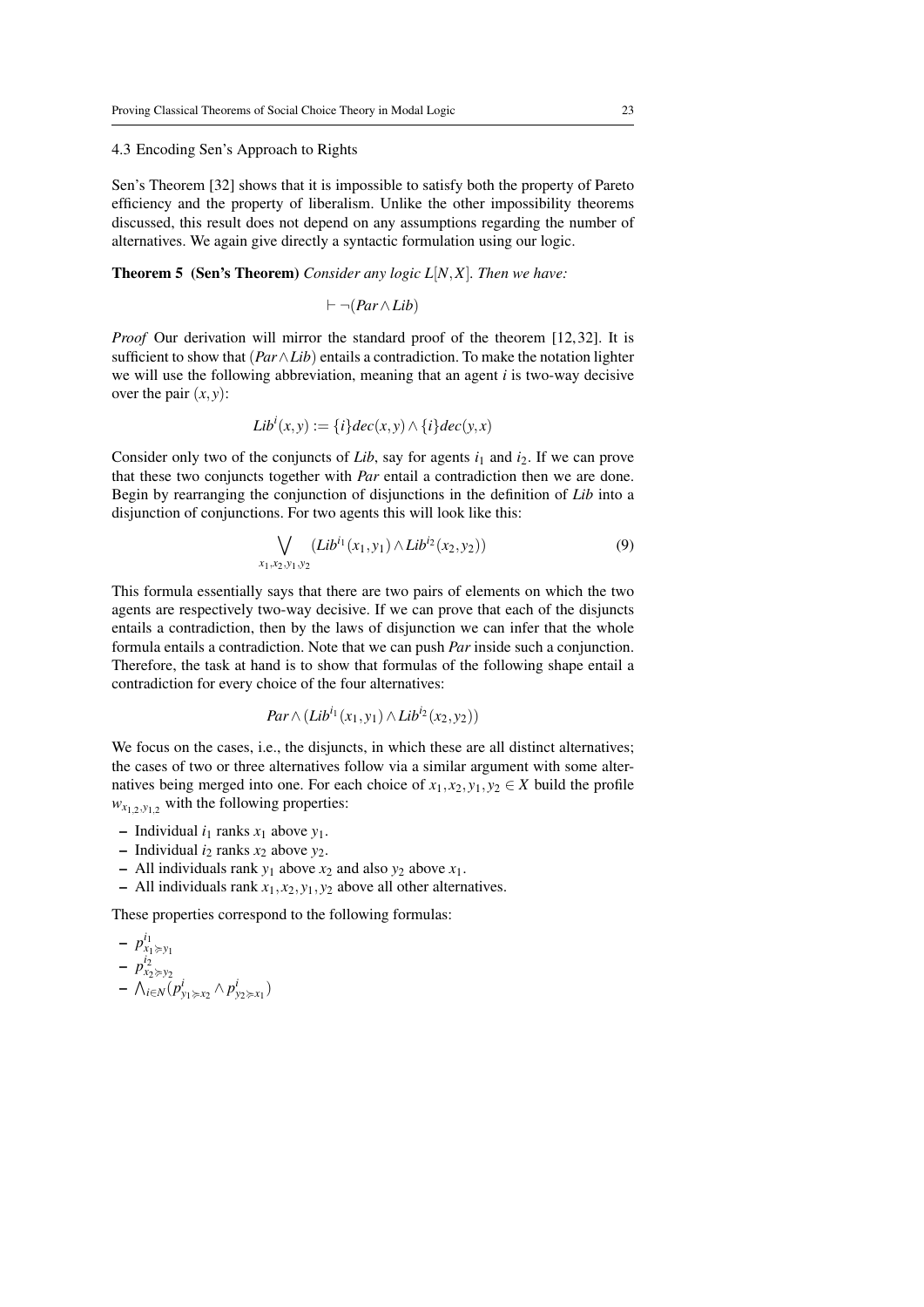## 4.3 Encoding Sen's Approach to Rights

Sen's Theorem [32] shows that it is impossible to satisfy both the property of Pareto efficiency and the property of liberalism. Unlike the other impossibility theorems discussed, this result does not depend on any assumptions regarding the number of alternatives. We again give directly a syntactic formulation using our logic.

Theorem 5 (Sen's Theorem) *Consider any logic L*[*N*,*X*]*. Then we have:*

 $\vdash$  ¬(*Par* ∧*Lib*)

*Proof* Our derivation will mirror the standard proof of the theorem [12,32]. It is sufficient to show that  $(Par \wedge Lib)$  entails a contradiction. To make the notation lighter we will use the following abbreviation, meaning that an agent *i* is two-way decisive over the pair  $(x, y)$ :

$$
Libi(x, y) := {i}dec(x, y) \wedge {i}dec(y, x)
$$

Consider only two of the conjuncts of *Lib*, say for agents  $i_1$  and  $i_2$ . If we can prove that these two conjuncts together with *Par* entail a contradiction then we are done. Begin by rearranging the conjunction of disjunctions in the definition of *Lib* into a disjunction of conjunctions. For two agents this will look like this:

$$
\bigvee_{x_1, x_2, y_1, y_2} (Lib^{i_1}(x_1, y_1) \wedge Lib^{i_2}(x_2, y_2)) \tag{9}
$$

This formula essentially says that there are two pairs of elements on which the two agents are respectively two-way decisive. If we can prove that each of the disjuncts entails a contradiction, then by the laws of disjunction we can infer that the whole formula entails a contradiction. Note that we can push *Par* inside such a conjunction. Therefore, the task at hand is to show that formulas of the following shape entail a contradiction for every choice of the four alternatives:

$$
Par\wedge (Lib^{i_1}(x_1,y_1)\wedge Lib^{i_2}(x_2,y_2))
$$

We focus on the cases, i.e., the disjuncts, in which these are all distinct alternatives; the cases of two or three alternatives follow via a similar argument with some alternatives being merged into one. For each choice of  $x_1, x_2, y_1, y_2 \in X$  build the profile  $w_{x_{1,2},y_{1,2}}$  with the following properties:

- $-$  Individual  $i_1$  ranks  $x_1$  above  $y_1$ .
- $-$  Individual  $i_2$  ranks  $x_2$  above  $y_2$ .
- All individuals rank  $y_1$  above  $x_2$  and also  $y_2$  above  $x_1$ .
- All individuals rank  $x_1, x_2, y_1, y_2$  above all other alternatives.

These properties correspond to the following formulas:

$$
- p_{x_1 \succcurlyeq y_1}^{i_1}
$$
  
-  $p_{x_2 \succcurlyeq y_2}^{i_2}$   
-  $\Lambda_{i \in N} (p_{y_1 \succcurlyeq x_2}^i \wedge p_{y_2 \succcurlyeq x_1}^i)$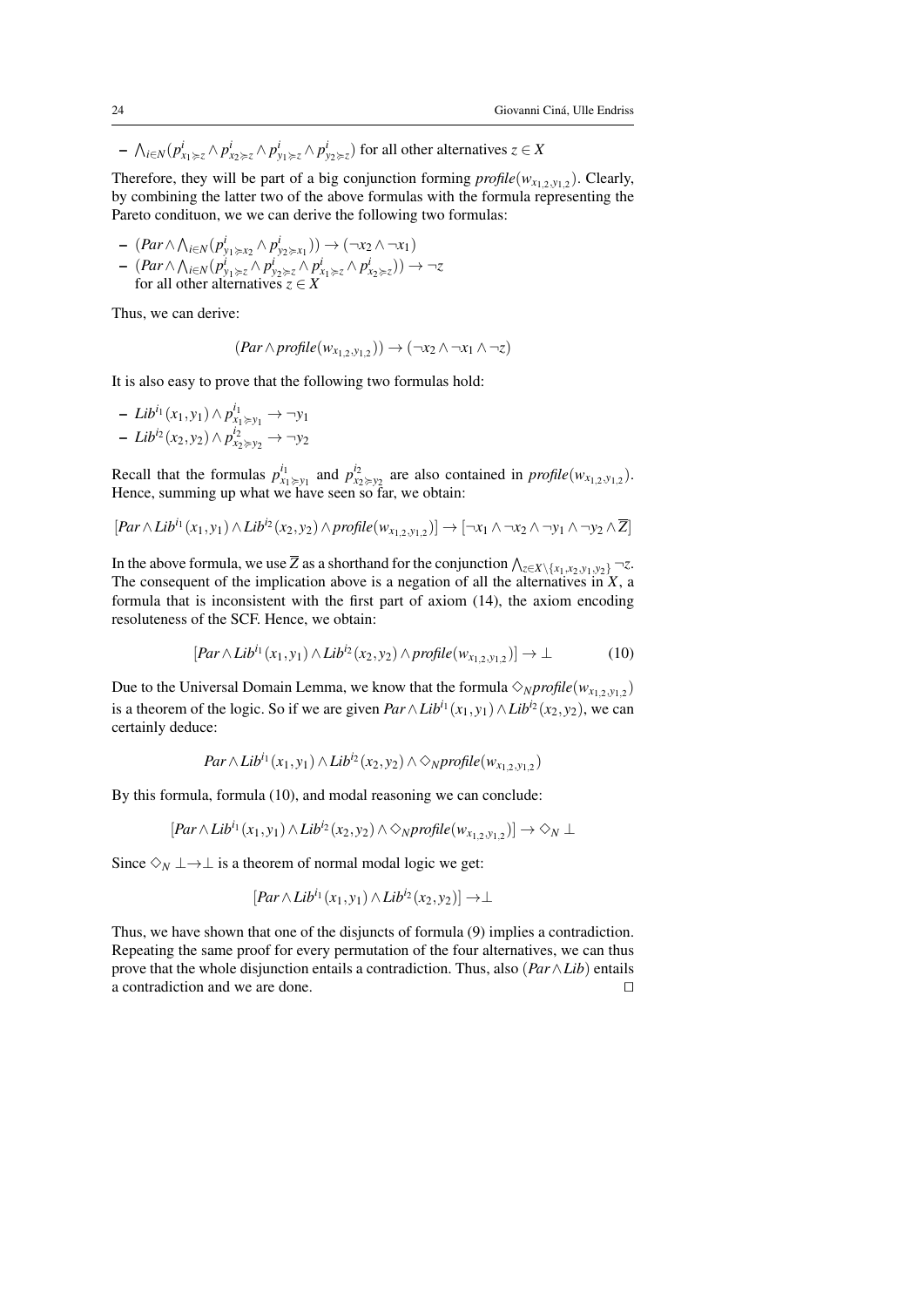$\rightarrow \bigwedge_{i \in N} (p_{x_1\succcurlyeq z}^i \land p_{x_2\succcurlyeq z}^i \land p_{y_1\succcurlyeq z}^i \land p_{y_2\succcurlyeq z}^i)$  for all other alternatives *z* ∈ *X* 

Therefore, they will be part of a big conjunction forming  $\text{profile}(w_{x_{1,2},y_{1,2}})$ . Clearly, by combining the latter two of the above formulas with the formula representing the Pareto condituon, we we can derive the following two formulas:

 $\rightarrow$  (*Par* ∧  $\bigwedge_{i \in N} (p_{y_1\succ x_2}^i \land p_{y_2\succ x_1}^i)$ ) → (¬*x*<sub>2</sub> ∧ ¬*x*<sub>1</sub>)  $(Par \wedge \wedge_{i \in N} (p_{y_1 \succ z}^i \wedge p_{y_2 \succ z}^i \wedge p_{x_1 \succ z}^i \wedge p_{x_2 \succ z}^i)) \rightarrow \neg z$ for all other alternatives  $z \in X$ 

Thus, we can derive:

$$
(Par \wedge profile(w_{x_{1,2},y_{1,2}})) \rightarrow (\neg x_2 \wedge \neg x_1 \wedge \neg z)
$$

It is also easy to prove that the following two formulas hold:

 $-$  *Lib*<sup>*i*</sup>1(*x*<sub>1</sub>, *y*<sub>1</sub>) ∧ *p*<sup>*i*<sub>1</sup><sub>*x*<sub>1</sub>≽ *y*<sub>1</sub> → ¬*y*<sub>1</sub></sup></sub></sub>  $- Lib^{i<sub>2</sub>}(x<sub>2</sub>, y<sub>2</sub>) \wedge p^{i<sub>2</sub>}^{i<sub>2</sub> \succcurlyeq y<sub>2</sub>} \rightarrow \neg y<sub>2</sub>$ 

Recall that the formulas  $p_{x_1 \succcurlyeq y_1}^{i_1}$  and  $p_{x_2 \succcurlyeq y_2}^{i_2}$  are also contained in *profile*( $w_{x_1,2,y_1,2}$ ). Hence, summing up what we have seen so far, we obtain:

$$
[Par \wedge Lib^{i_1}(x_1, y_1) \wedge Lib^{i_2}(x_2, y_2) \wedge profile(w_{x_{1,2}, y_{1,2}})] \rightarrow [\neg x_1 \wedge \neg x_2 \wedge \neg y_1 \wedge \neg y_2 \wedge \overline{Z}]
$$

In the above formula, we use  $\overline{Z}$  as a shorthand for the conjunction  $\bigwedge_{z \in X \setminus \{x_1, x_2, y_1, y_2\}} \neg z$ . The consequent of the implication above is a negation of all the alternatives in *X*, a formula that is inconsistent with the first part of axiom (14), the axiom encoding resoluteness of the SCF. Hence, we obtain:

$$
[Par \wedge Lib^{i_1}(x_1, y_1) \wedge Lib^{i_2}(x_2, y_2) \wedge profile(w_{x_{1,2}, y_{1,2}})] \rightarrow \bot
$$
 (10)

Due to the Universal Domain Lemma, we know that the formula  $\Diamond_N$ *profile*( $w_{x_{1,2},y_{1,2}}$ ) is a theorem of the logic. So if we are given  $Par \wedge Lib^{i_1}(x_1, y_1) \wedge Lib^{i_2}(x_2, y_2)$ , we can certainly deduce:

$$
Par \wedge Lib^{i_1}(x_1,y_1) \wedge Lib^{i_2}(x_2,y_2) \wedge \diamondsuit_N profile(w_{x_{1,2},y_{1,2}})
$$

By this formula, formula (10), and modal reasoning we can conclude:

$$
[Par \wedge Lib^{i_1}(x_1,y_1) \wedge Lib^{i_2}(x_2,y_2) \wedge \Diamond_N profile(w_{x_{1,2},y_{1,2}})] \rightarrow \Diamond_N \perp
$$

Since  $\Diamond_N \perp \to \perp$  is a theorem of normal modal logic we get:

$$
[Par\wedge Lib^{i_1}(x_1,y_1)\wedge Lib^{i_2}(x_2,y_2)]\rightarrow\perp
$$

Thus, we have shown that one of the disjuncts of formula (9) implies a contradiction. Repeating the same proof for every permutation of the four alternatives, we can thus prove that the whole disjunction entails a contradiction. Thus, also (*Par*∧*Lib*) entails a contradiction and we are done.  $\Box$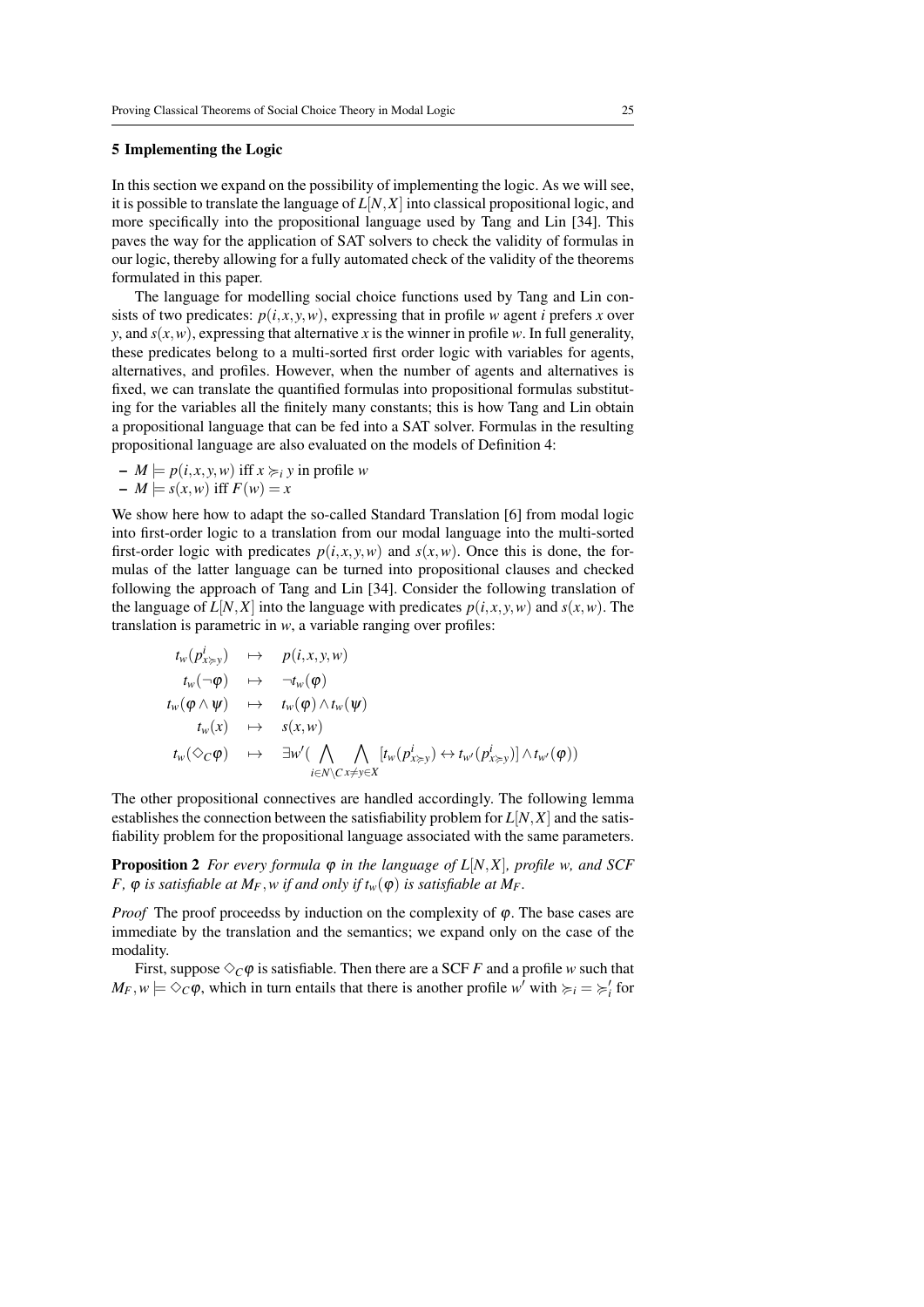# 5 Implementing the Logic

In this section we expand on the possibility of implementing the logic. As we will see, it is possible to translate the language of *L*[*N*,*X*] into classical propositional logic, and more specifically into the propositional language used by Tang and Lin [34]. This paves the way for the application of SAT solvers to check the validity of formulas in our logic, thereby allowing for a fully automated check of the validity of the theorems formulated in this paper.

The language for modelling social choice functions used by Tang and Lin consists of two predicates:  $p(i, x, y, w)$ , expressing that in profile *w* agent *i* prefers *x* over *y*, and  $s(x, w)$ , expressing that alternative *x* is the winner in profile *w*. In full generality, these predicates belong to a multi-sorted first order logic with variables for agents, alternatives, and profiles. However, when the number of agents and alternatives is fixed, we can translate the quantified formulas into propositional formulas substituting for the variables all the finitely many constants; this is how Tang and Lin obtain a propositional language that can be fed into a SAT solver. Formulas in the resulting propositional language are also evaluated on the models of Definition 4:

$$
- M \models p(i, x, y, w) \text{ iff } x \succcurlyeq_i y \text{ in profile } w
$$

$$
- M \models s(x, w) \text{ iff } F(w) = x
$$

We show here how to adapt the so-called Standard Translation [6] from modal logic into first-order logic to a translation from our modal language into the multi-sorted first-order logic with predicates  $p(i, x, y, w)$  and  $s(x, w)$ . Once this is done, the formulas of the latter language can be turned into propositional clauses and checked following the approach of Tang and Lin [34]. Consider the following translation of the language of  $L[N,X]$  into the language with predicates  $p(i, x, y, w)$  and  $s(x, w)$ . The translation is parametric in *w*, a variable ranging over profiles:

$$
t_{w}(p_{x \geq y}^{i}) \rightarrow p(i, x, y, w)
$$
  
\n
$$
t_{w}(\neg \varphi) \rightarrow \neg t_{w}(\varphi)
$$
  
\n
$$
t_{w}(\varphi \land \psi) \rightarrow t_{w}(\varphi) \land t_{w}(\psi)
$$
  
\n
$$
t_{w}(x) \rightarrow s(x, w)
$$
  
\n
$$
t_{w}(\Diamond_{C}\varphi) \rightarrow \exists w'(\bigwedge_{i \in N \setminus C} \bigwedge_{x \neq y \in X} [t_{w}(p_{x \geq y}^{i}) \leftrightarrow t_{w'}(p_{x \geq y}^{i})] \land t_{w'}(\varphi))
$$

The other propositional connectives are handled accordingly. The following lemma establishes the connection between the satisfiability problem for  $L[N,X]$  and the satisfiability problem for the propositional language associated with the same parameters.

**Proposition 2** *For every formula*  $\varphi$  *in the language of L[N,X], profile w, and SCF F*,  $\varphi$  *is satisfiable at*  $M_F$ *,w if and only if*  $t_w(\varphi)$  *is satisfiable at*  $M_F$ *.* 

*Proof* The proof proceedss by induction on the complexity of  $\varphi$ . The base cases are immediate by the translation and the semantics; we expand only on the case of the modality.

First, suppose  $\Diamond$ *C* $\phi$  is satisfiable. Then there are a SCF *F* and a profile *w* such that  $M_F$ ,  $w \models \Diamond_C \varphi$ , which in turn entails that there is another profile  $w^I$  with  $\succcurlyeq_i = \succ_i'$  for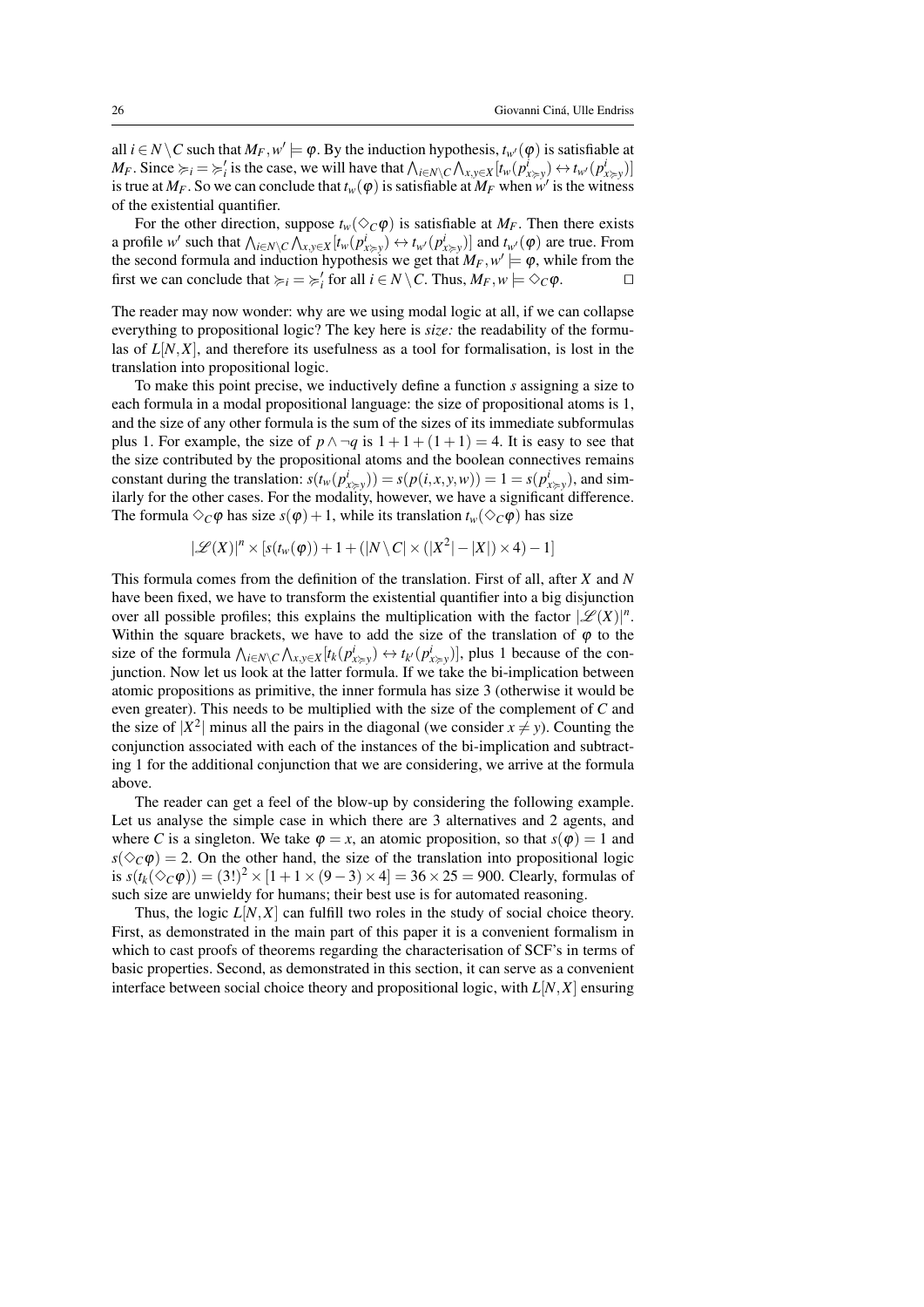all  $i \in N \setminus C$  such that  $M_F$ ,  $w' \models \varphi$ . By the induction hypothesis,  $t_{w'}(\varphi)$  is satisfiable at  $M_F$ . Since  $\succcurlyeq_i = \succcurlyeq'_i$  is the case, we will have that  $\bigwedge_{i \in N \setminus C} \bigwedge_{x,y \in X} [t_w(p^i_{x \succcurlyeq y}) \leftrightarrow t_{w'}(p^i_{x \succcurlyeq y})]$ is true at  $M_F$ . So we can conclude that  $t_w(\varphi)$  is satisfiable at  $M_F$  when  $w'$  is the witness of the existential quantifier.

For the other direction, suppose  $t_w(\Diamond_C \varphi)$  is satisfiable at  $M_F$ . Then there exists a profile w' such that  $\bigwedge_{i \in N \setminus C} \bigwedge_{x,y \in X} [t_w(p^i_{x \ge y}) \leftrightarrow t_{w'}(p^i_{x \ge y})]$  and  $t_{w'}(\varphi)$  are true. From the second formula and induction hypothesis we get that  $M_F$ ,  $w' \models \varphi$ , while from the first we can conclude that  $\succcurlyeq_i = \succ_i'$  for all  $i \in N \setminus C$ . Thus,  $M_F$ ,  $w \models \Diamond_C \varphi$ .

The reader may now wonder: why are we using modal logic at all, if we can collapse everything to propositional logic? The key here is *size:* the readability of the formulas of *L*[*N*,*X*], and therefore its usefulness as a tool for formalisation, is lost in the translation into propositional logic.

To make this point precise, we inductively define a function *s* assigning a size to each formula in a modal propositional language: the size of propositional atoms is 1, and the size of any other formula is the sum of the sizes of its immediate subformulas plus 1. For example, the size of  $p \land \neg q$  is  $1 + 1 + (1 + 1) = 4$ . It is easy to see that the size contributed by the propositional atoms and the boolean connectives remains constant during the translation:  $s(t_w(p_{x \succ y}^i)) = s(p(i, x, y, w)) = 1 = s(p_{x \succ y}^i)$ , and similarly for the other cases. For the modality, however, we have a significant difference. The formula  $\Diamond_C \varphi$  has size  $s(\varphi) + 1$ , while its translation  $t_w(\Diamond_C \varphi)$  has size

$$
|\mathscr{L}(X)|^n \times [s(t_w(\varphi)) + 1 + (|N \setminus C| \times (|X^2| - |X|) \times 4) - 1]
$$

This formula comes from the definition of the translation. First of all, after *X* and *N* have been fixed, we have to transform the existential quantifier into a big disjunction over all possible profiles; this explains the multiplication with the factor  $|\mathscr{L}(X)|^n$ . Within the square brackets, we have to add the size of the translation of  $\varphi$  to the size of the formula  $\bigwedge_{i \in N \setminus C} \bigwedge_{x,y \in X} [t_k(p_{x \succ y}^i) \leftrightarrow t_{k'}(p_{x \succ y}^i)]$ , plus 1 because of the conjunction. Now let us look at the latter formula. If we take the bi-implication between atomic propositions as primitive, the inner formula has size 3 (otherwise it would be even greater). This needs to be multiplied with the size of the complement of *C* and the size of  $|X^2|$  minus all the pairs in the diagonal (we consider  $x \neq y$ ). Counting the conjunction associated with each of the instances of the bi-implication and subtracting 1 for the additional conjunction that we are considering, we arrive at the formula above.

The reader can get a feel of the blow-up by considering the following example. Let us analyse the simple case in which there are 3 alternatives and 2 agents, and where *C* is a singleton. We take  $\varphi = x$ , an atomic proposition, so that  $s(\varphi) = 1$  and  $s(\Diamond_C \varphi) = 2$ . On the other hand, the size of the translation into propositional logic is  $s(t_k(\Diamond_C \varphi)) = (3!)^2 \times [1 + 1 \times (9 - 3) \times 4] = 36 \times 25 = 900$ . Clearly, formulas of such size are unwieldy for humans; their best use is for automated reasoning.

Thus, the logic  $L[N,X]$  can fulfill two roles in the study of social choice theory. First, as demonstrated in the main part of this paper it is a convenient formalism in which to cast proofs of theorems regarding the characterisation of SCF's in terms of basic properties. Second, as demonstrated in this section, it can serve as a convenient interface between social choice theory and propositional logic, with *L*[*N*,*X*] ensuring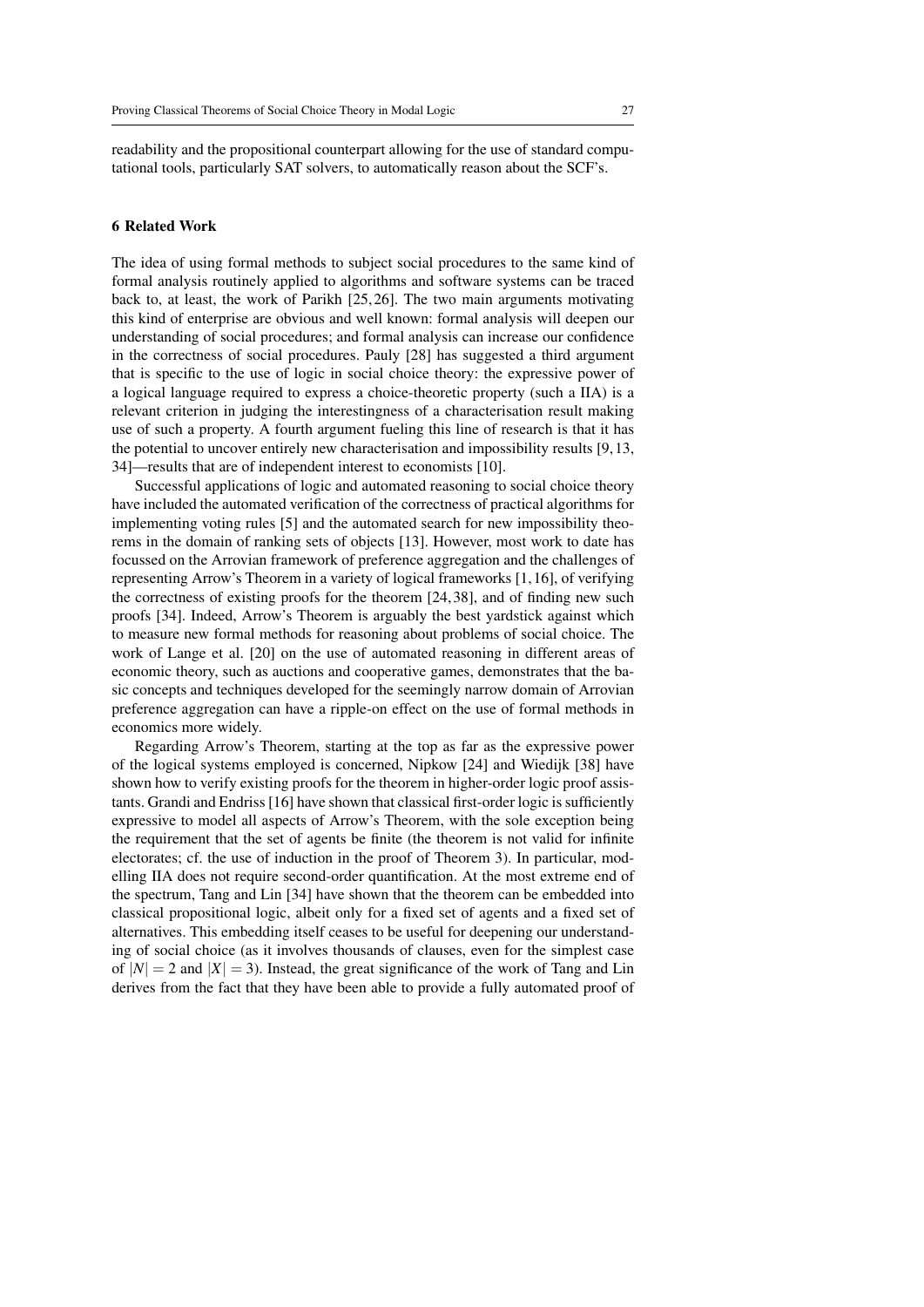readability and the propositional counterpart allowing for the use of standard computational tools, particularly SAT solvers, to automatically reason about the SCF's.

## 6 Related Work

The idea of using formal methods to subject social procedures to the same kind of formal analysis routinely applied to algorithms and software systems can be traced back to, at least, the work of Parikh [25, 26]. The two main arguments motivating this kind of enterprise are obvious and well known: formal analysis will deepen our understanding of social procedures; and formal analysis can increase our confidence in the correctness of social procedures. Pauly [28] has suggested a third argument that is specific to the use of logic in social choice theory: the expressive power of a logical language required to express a choice-theoretic property (such a IIA) is a relevant criterion in judging the interestingness of a characterisation result making use of such a property. A fourth argument fueling this line of research is that it has the potential to uncover entirely new characterisation and impossibility results [9, 13, 34]—results that are of independent interest to economists [10].

Successful applications of logic and automated reasoning to social choice theory have included the automated verification of the correctness of practical algorithms for implementing voting rules [5] and the automated search for new impossibility theorems in the domain of ranking sets of objects [13]. However, most work to date has focussed on the Arrovian framework of preference aggregation and the challenges of representing Arrow's Theorem in a variety of logical frameworks [1, 16], of verifying the correctness of existing proofs for the theorem [24, 38], and of finding new such proofs [34]. Indeed, Arrow's Theorem is arguably the best yardstick against which to measure new formal methods for reasoning about problems of social choice. The work of Lange et al. [20] on the use of automated reasoning in different areas of economic theory, such as auctions and cooperative games, demonstrates that the basic concepts and techniques developed for the seemingly narrow domain of Arrovian preference aggregation can have a ripple-on effect on the use of formal methods in economics more widely.

Regarding Arrow's Theorem, starting at the top as far as the expressive power of the logical systems employed is concerned, Nipkow [24] and Wiedijk [38] have shown how to verify existing proofs for the theorem in higher-order logic proof assistants. Grandi and Endriss [16] have shown that classical first-order logic is sufficiently expressive to model all aspects of Arrow's Theorem, with the sole exception being the requirement that the set of agents be finite (the theorem is not valid for infinite electorates; cf. the use of induction in the proof of Theorem 3). In particular, modelling IIA does not require second-order quantification. At the most extreme end of the spectrum, Tang and Lin [34] have shown that the theorem can be embedded into classical propositional logic, albeit only for a fixed set of agents and a fixed set of alternatives. This embedding itself ceases to be useful for deepening our understanding of social choice (as it involves thousands of clauses, even for the simplest case of  $|N| = 2$  and  $|X| = 3$ ). Instead, the great significance of the work of Tang and Lin derives from the fact that they have been able to provide a fully automated proof of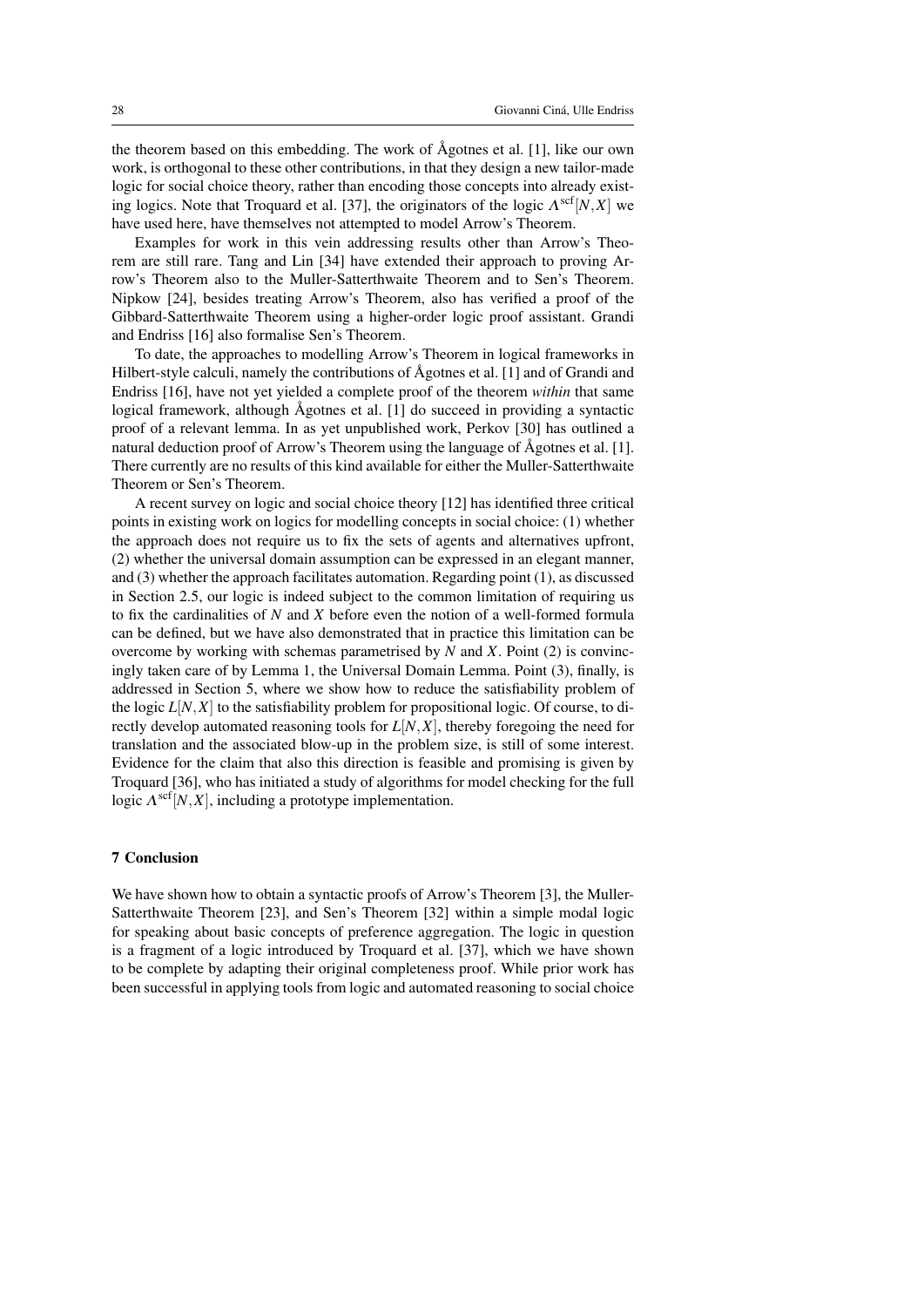the theorem based on this embedding. The work of  $\AA$ gotnes et al. [1], like our own work, is orthogonal to these other contributions, in that they design a new tailor-made logic for social choice theory, rather than encoding those concepts into already existing logics. Note that Troquard et al. [37], the originators of the logic  $\Lambda^{scf}[N,X]$  we have used here, have themselves not attempted to model Arrow's Theorem.

Examples for work in this vein addressing results other than Arrow's Theorem are still rare. Tang and Lin [34] have extended their approach to proving Arrow's Theorem also to the Muller-Satterthwaite Theorem and to Sen's Theorem. Nipkow [24], besides treating Arrow's Theorem, also has verified a proof of the Gibbard-Satterthwaite Theorem using a higher-order logic proof assistant. Grandi and Endriss [16] also formalise Sen's Theorem.

To date, the approaches to modelling Arrow's Theorem in logical frameworks in Hilbert-style calculi, namely the contributions of  $\AA$  gotnes et al. [1] and of Grandi and Endriss [16], have not yet yielded a complete proof of the theorem *within* that same logical framework, although Agotnes et al.  $[1]$  do succeed in providing a syntactic proof of a relevant lemma. In as yet unpublished work, Perkov [30] has outlined a natural deduction proof of Arrow's Theorem using the language of Ågotnes et al. [1]. There currently are no results of this kind available for either the Muller-Satterthwaite Theorem or Sen's Theorem.

A recent survey on logic and social choice theory [12] has identified three critical points in existing work on logics for modelling concepts in social choice: (1) whether the approach does not require us to fix the sets of agents and alternatives upfront, (2) whether the universal domain assumption can be expressed in an elegant manner, and (3) whether the approach facilitates automation. Regarding point (1), as discussed in Section 2.5, our logic is indeed subject to the common limitation of requiring us to fix the cardinalities of *N* and *X* before even the notion of a well-formed formula can be defined, but we have also demonstrated that in practice this limitation can be overcome by working with schemas parametrised by *N* and *X*. Point (2) is convincingly taken care of by Lemma 1, the Universal Domain Lemma. Point (3), finally, is addressed in Section 5, where we show how to reduce the satisfiability problem of the logic  $L[N,X]$  to the satisfiability problem for propositional logic. Of course, to directly develop automated reasoning tools for *L*[*N*,*X*], thereby foregoing the need for translation and the associated blow-up in the problem size, is still of some interest. Evidence for the claim that also this direction is feasible and promising is given by Troquard [36], who has initiated a study of algorithms for model checking for the full logic  $\Lambda^{scf}[N,X]$ , including a prototype implementation.

# 7 Conclusion

We have shown how to obtain a syntactic proofs of Arrow's Theorem [3], the Muller-Satterthwaite Theorem [23], and Sen's Theorem [32] within a simple modal logic for speaking about basic concepts of preference aggregation. The logic in question is a fragment of a logic introduced by Troquard et al. [37], which we have shown to be complete by adapting their original completeness proof. While prior work has been successful in applying tools from logic and automated reasoning to social choice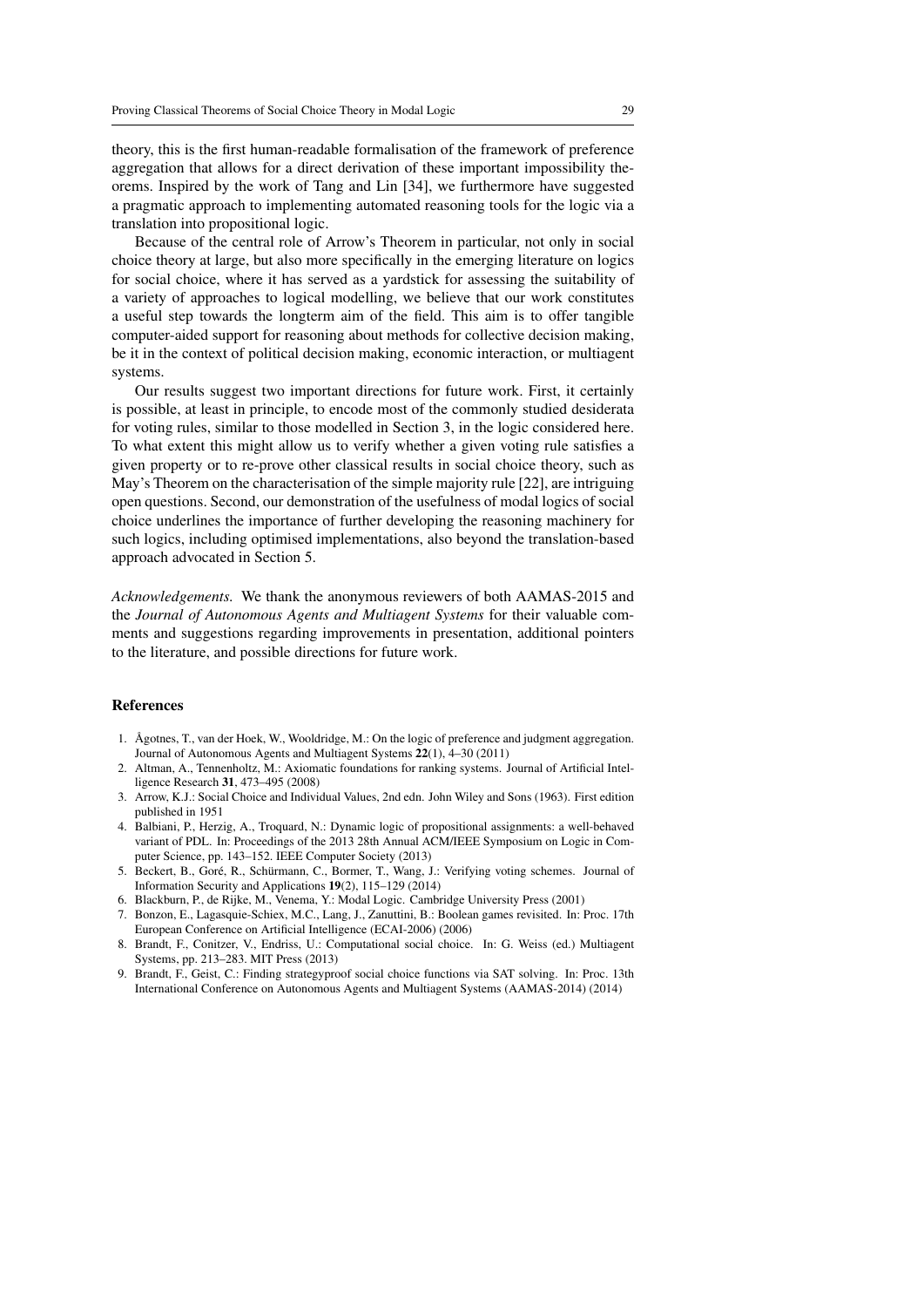theory, this is the first human-readable formalisation of the framework of preference aggregation that allows for a direct derivation of these important impossibility theorems. Inspired by the work of Tang and Lin [34], we furthermore have suggested a pragmatic approach to implementing automated reasoning tools for the logic via a translation into propositional logic.

Because of the central role of Arrow's Theorem in particular, not only in social choice theory at large, but also more specifically in the emerging literature on logics for social choice, where it has served as a yardstick for assessing the suitability of a variety of approaches to logical modelling, we believe that our work constitutes a useful step towards the longterm aim of the field. This aim is to offer tangible computer-aided support for reasoning about methods for collective decision making, be it in the context of political decision making, economic interaction, or multiagent systems.

Our results suggest two important directions for future work. First, it certainly is possible, at least in principle, to encode most of the commonly studied desiderata for voting rules, similar to those modelled in Section 3, in the logic considered here. To what extent this might allow us to verify whether a given voting rule satisfies a given property or to re-prove other classical results in social choice theory, such as May's Theorem on the characterisation of the simple majority rule [22], are intriguing open questions. Second, our demonstration of the usefulness of modal logics of social choice underlines the importance of further developing the reasoning machinery for such logics, including optimised implementations, also beyond the translation-based approach advocated in Section 5.

*Acknowledgements.* We thank the anonymous reviewers of both AAMAS-2015 and the *Journal of Autonomous Agents and Multiagent Systems* for their valuable comments and suggestions regarding improvements in presentation, additional pointers to the literature, and possible directions for future work.

# References

- 1. Ågotnes, T., van der Hoek, W., Wooldridge, M.: On the logic of preference and judgment aggregation. Journal of Autonomous Agents and Multiagent Systems 22(1), 4–30 (2011)
- 2. Altman, A., Tennenholtz, M.: Axiomatic foundations for ranking systems. Journal of Artificial Intelligence Research 31, 473–495 (2008)
- 3. Arrow, K.J.: Social Choice and Individual Values, 2nd edn. John Wiley and Sons (1963). First edition published in 1951
- 4. Balbiani, P., Herzig, A., Troquard, N.: Dynamic logic of propositional assignments: a well-behaved variant of PDL. In: Proceedings of the 2013 28th Annual ACM/IEEE Symposium on Logic in Computer Science, pp. 143–152. IEEE Computer Society (2013)
- 5. Beckert, B., Goré, R., Schürmann, C., Bormer, T., Wang, J.: Verifying voting schemes. Journal of Information Security and Applications 19(2), 115–129 (2014)
- 6. Blackburn, P., de Rijke, M., Venema, Y.: Modal Logic. Cambridge University Press (2001)
- 7. Bonzon, E., Lagasquie-Schiex, M.C., Lang, J., Zanuttini, B.: Boolean games revisited. In: Proc. 17th European Conference on Artificial Intelligence (ECAI-2006) (2006)
- 8. Brandt, F., Conitzer, V., Endriss, U.: Computational social choice. In: G. Weiss (ed.) Multiagent Systems, pp. 213–283. MIT Press (2013)
- 9. Brandt, F., Geist, C.: Finding strategyproof social choice functions via SAT solving. In: Proc. 13th International Conference on Autonomous Agents and Multiagent Systems (AAMAS-2014) (2014)